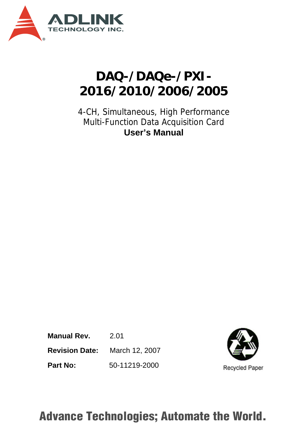

# **DAQ-/DAQe-/PXI-2016/2010/2006/2005**

4-CH, Simultaneous, High Performance Multi-Function Data Acquisition Card **User's Manual**

**Manual Rev.** 2.01 **Revision Date:** March 12, 2007 **Part No:** 50-11219-2000



# **Advance Technologies; Automate the World.**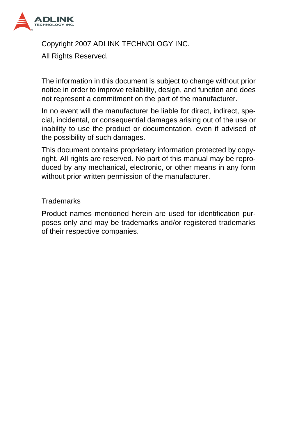

Copyright 2007 ADLINK TECHNOLOGY INC.

All Rights Reserved.

The information in this document is subject to change without prior notice in order to improve reliability, design, and function and does not represent a commitment on the part of the manufacturer.

In no event will the manufacturer be liable for direct, indirect, special, incidental, or consequential damages arising out of the use or inability to use the product or documentation, even if advised of the possibility of such damages.

This document contains proprietary information protected by copyright. All rights are reserved. No part of this manual may be reproduced by any mechanical, electronic, or other means in any form without prior written permission of the manufacturer.

#### **Trademarks**

Product names mentioned herein are used for identification purposes only and may be trademarks and/or registered trademarks of their respective companies.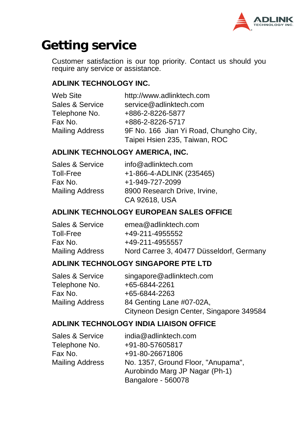

# **Getting service**

Customer satisfaction is our top priority. Contact us should you require any service or assistance.

#### **ADLINK TECHNOLOGY INC.**

| Web Site               | http://www.adlinktech.com              |
|------------------------|----------------------------------------|
| Sales & Service        | service@adlinktech.com                 |
| Telephone No.          | +886-2-8226-5877                       |
| Fax No.                | +886-2-8226-5717                       |
| <b>Mailing Address</b> | 9F No. 166 Jian Yi Road, Chungho City, |
|                        | Taipei Hsien 235, Taiwan, ROC          |

#### **ADLINK TECHNOLOGY AMERICA, INC.**

| Sales & Service        | info@adlinktech.com                           |
|------------------------|-----------------------------------------------|
| Toll-Free              | +1-866-4-ADLINK (235465)                      |
| Fax No.                | +1-949-727-2099                               |
| <b>Mailing Address</b> | 8900 Research Drive, Irvine,<br>CA 92618, USA |

#### **ADLINK TECHNOLOGY EUROPEAN SALES OFFICE**

| Sales & Service | emea@adlinktech.com                      |
|-----------------|------------------------------------------|
| Toll-Free       | +49-211-4955552                          |
| Fax No.         | +49-211-4955557                          |
| Mailing Address | Nord Carree 3, 40477 Düsseldorf, Germany |

### **ADLINK TECHNOLOGY SINGAPORE PTE LTD**

| Sales & Service | singapore@adlinktech.com                 |
|-----------------|------------------------------------------|
| Telephone No.   | +65-6844-2261                            |
| Fax No.         | +65-6844-2263                            |
| Mailing Address | 84 Genting Lane #07-02A,                 |
|                 | Cityneon Design Center, Singapore 349584 |

#### **ADLINK TECHNOLOGY INDIA LIAISON OFFICE**

| Sales & Service | india@adlinktech.com               |
|-----------------|------------------------------------|
| Telephone No.   | +91-80-57605817                    |
| Fax No.         | +91-80-26671806                    |
| Mailing Address | No. 1357, Ground Floor, "Anupama", |
|                 | Aurobindo Marg JP Nagar (Ph-1)     |
|                 | Bangalore - 560078                 |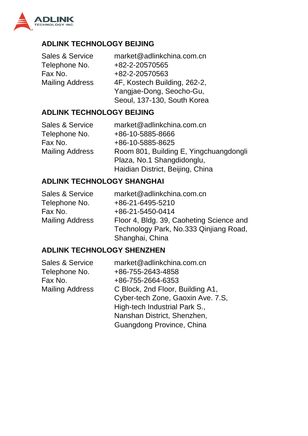

#### **ADLINK TECHNOLOGY BEIJING**

[Sales & Service market@adlinkchina.com.cn](mailto:market@adlinkchina.com.cn) Telephone No. +82-2-20570565 Fax No. +82-2-20570563 Mailing Address 4F, Kostech Building, 262-2, Yangjae-Dong, Seocho-Gu, Seoul, 137-130, South Korea

#### **ADLINK TECHNOLOGY BEIJING**

[Sales & Service market@adlinkchina.com.cn](mailto:market@adlinkchina.com.cn) Telephone No. +86-10-5885-8666 Fax No.  $+86-10-5885-8625$ Mailing Address Room 801, Building E, Yingchuangdongli Plaza, No.1 Shangdidonglu, Haidian District, Beijing, China

#### **ADLINK TECHNOLOGY SHANGHAI**

| Sales & Service | market@adlinkchina.com.cn                                                                             |
|-----------------|-------------------------------------------------------------------------------------------------------|
| Telephone No.   | +86-21-6495-5210                                                                                      |
| Fax No.         | +86-21-5450-0414                                                                                      |
| Mailing Address | Floor 4, Bldg. 39, Caoheting Science and<br>Technology Park, No.333 Qinjiang Road,<br>Shanghai, China |

#### **ADLINK TECHNOLOGY SHENZHEN**

| Sales & Service        | market@adlinkchina.com.cn         |
|------------------------|-----------------------------------|
| Telephone No.          | +86-755-2643-4858                 |
| Fax No.                | +86-755-2664-6353                 |
| <b>Mailing Address</b> | C Block, 2nd Floor, Building A1,  |
|                        | Cyber-tech Zone, Gaoxin Ave. 7.S, |
|                        | High-tech Industrial Park S.,     |
|                        | Nanshan District, Shenzhen,       |
|                        | Guangdong Province, China         |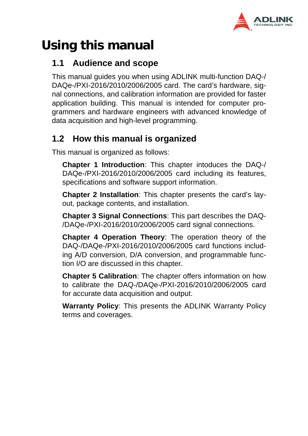

# **Using this manual**

## **1.1 Audience and scope**

This manual guides you when using ADLINK multi-function DAQ-/ DAQe-/PXI-2016/2010/2006/2005 card. The card's hardware, signal connections, and calibration information are provided for faster application building. This manual is intended for computer programmers and hardware engineers with advanced knowledge of data acquisition and high-level programming.

## **1.2 How this manual is organized**

This manual is organized as follows:

**Chapter 1 Introduction**: This chapter intoduces the DAQ-/ DAQe-/PXI-2016/2010/2006/2005 card including its features, specifications and software support information.

**Chapter 2 Installation**: This chapter presents the card's layout, package contents, and installation.

**Chapter 3 Signal Connections**: This part describes the DAQ- /DAQe-/PXI-2016/2010/2006/2005 card signal connections.

**Chapter 4 Operation Theory**: The operation theory of the DAQ-/DAQe-/PXI-2016/2010/2006/2005 card functions including A/D conversion, D/A conversion, and programmable function I/O are discussed in this chapter.

**Chapter 5 Calibration**: The chapter offers information on how to calibrate the DAQ-/DAQe-/PXI-2016/2010/2006/2005 card for accurate data acquisition and output.

**Warranty Policy**: This presents the ADLINK Warranty Policy terms and coverages.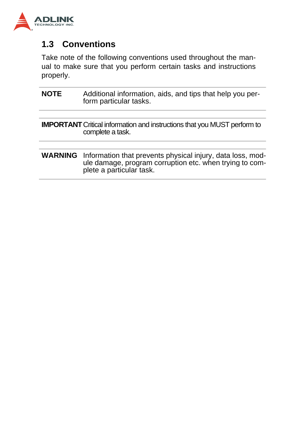

## **1.3 Conventions**

Take note of the following conventions used throughout the manual to make sure that you perform certain tasks and instructions properly.

| <b>NOTE</b> | Additional information, aids, and tips that help you per-<br>form particular tasks.                                                               |
|-------------|---------------------------------------------------------------------------------------------------------------------------------------------------|
|             | <b>IMPORTANT</b> Critical information and instructions that you MUST perform to<br>complete a task.                                               |
| WARNING     | Information that prevents physical injury, data loss, mod-<br>ule damage, program corruption etc. when trying to com-<br>plete a particular task. |
|             |                                                                                                                                                   |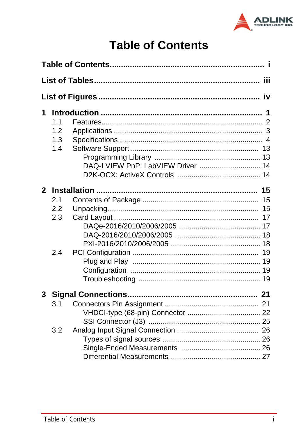

# **Table of Contents**

<span id="page-6-0"></span>

| 1            | $\mathbf 1$ |                                   |  |  |  |
|--------------|-------------|-----------------------------------|--|--|--|
|              | 1.1         |                                   |  |  |  |
|              | 1.2         |                                   |  |  |  |
|              | 1.3         |                                   |  |  |  |
|              | 1.4         |                                   |  |  |  |
|              |             |                                   |  |  |  |
|              |             | DAQ-LVIEW PnP: LabVIEW Driver  14 |  |  |  |
|              |             |                                   |  |  |  |
| $\mathbf{2}$ |             |                                   |  |  |  |
|              | 2.1         |                                   |  |  |  |
|              | 2.2         | 15                                |  |  |  |
|              | 2.3         | 17                                |  |  |  |
|              |             |                                   |  |  |  |
|              |             |                                   |  |  |  |
|              |             |                                   |  |  |  |
|              | 24          |                                   |  |  |  |
|              |             |                                   |  |  |  |
|              |             |                                   |  |  |  |
|              |             |                                   |  |  |  |
| 3            |             |                                   |  |  |  |
|              | 3.1         |                                   |  |  |  |
|              |             |                                   |  |  |  |
|              |             |                                   |  |  |  |
|              | 3.2         |                                   |  |  |  |
|              |             |                                   |  |  |  |
|              |             |                                   |  |  |  |
|              |             |                                   |  |  |  |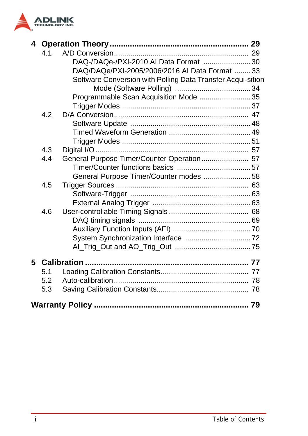

|   | 41  |                                                             |  |  |  |
|---|-----|-------------------------------------------------------------|--|--|--|
|   |     | DAQ-/DAQe-/PXI-2010 AI Data Format  30                      |  |  |  |
|   |     | DAQ/DAQe/PXI-2005/2006/2016 AI Data Format  33              |  |  |  |
|   |     | Software Conversion with Polling Data Transfer Acqui-sition |  |  |  |
|   |     |                                                             |  |  |  |
|   |     | Programmable Scan Acquisition Mode  35                      |  |  |  |
|   |     |                                                             |  |  |  |
|   | 4.2 |                                                             |  |  |  |
|   |     |                                                             |  |  |  |
|   |     |                                                             |  |  |  |
|   |     |                                                             |  |  |  |
|   | 4.3 |                                                             |  |  |  |
|   | 4.4 | General Purpose Timer/Counter Operation 57                  |  |  |  |
|   |     |                                                             |  |  |  |
|   |     | General Purpose Timer/Counter modes 58                      |  |  |  |
|   | 4.5 |                                                             |  |  |  |
|   |     |                                                             |  |  |  |
|   |     |                                                             |  |  |  |
|   | 4.6 |                                                             |  |  |  |
|   |     |                                                             |  |  |  |
|   |     |                                                             |  |  |  |
|   |     |                                                             |  |  |  |
|   |     |                                                             |  |  |  |
| 5 |     |                                                             |  |  |  |
|   | 5.1 |                                                             |  |  |  |
|   | 5.2 |                                                             |  |  |  |
|   | 5.3 |                                                             |  |  |  |
|   |     |                                                             |  |  |  |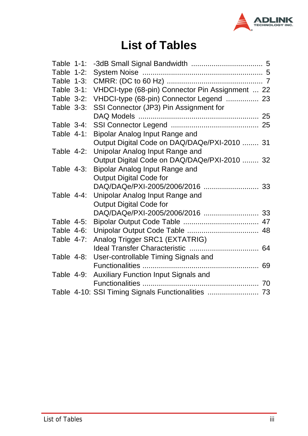

# **List of Tables**

<span id="page-8-0"></span>

| Table $1-1$ : |                                                    |    |
|---------------|----------------------------------------------------|----|
| Table $1-2$ : |                                                    |    |
| Table $1-3$ : |                                                    |    |
| Table $3-1$ : | VHDCI-type (68-pin) Connector Pin Assignment  22   |    |
| Table 3-2:    | VHDCI-type (68-pin) Connector Legend  23           |    |
| Table $3-3$ : | SSI Connector (JP3) Pin Assignment for             |    |
|               |                                                    |    |
| Table $3-4$ : |                                                    |    |
| Table 4-1:    | Bipolar Analog Input Range and                     |    |
|               | Output Digital Code on DAQ/DAQe/PXI-2010  31       |    |
| Table 4-2:    | Unipolar Analog Input Range and                    |    |
|               | Output Digital Code on DAQ/DAQe/PXI-2010  32       |    |
| Table 4-3:    | Bipolar Analog Input Range and                     |    |
|               | Output Digital Code for                            |    |
|               |                                                    |    |
| Table 4-4:    | Unipolar Analog Input Range and                    |    |
|               | Output Digital Code for                            |    |
|               |                                                    |    |
| Table $4-5$ : |                                                    |    |
| Table $4-6$ : |                                                    |    |
| Table $4-7$ : | Analog Trigger SRC1 (EXTATRIG)                     |    |
|               |                                                    |    |
| Table $4-8$ : | User-controllable Timing Signals and               |    |
|               | Functionalities                                    | 69 |
| Table 4-9:    | Auxiliary Function Input Signals and               |    |
|               | Functionalities                                    |    |
|               | Table 4-10: SSI Timing Signals Functionalities  73 |    |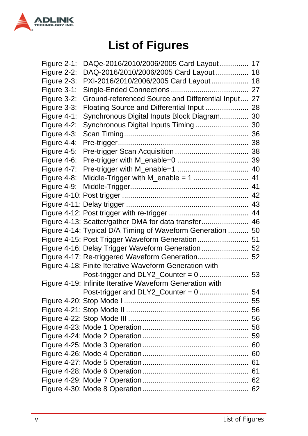

# **List of Figures**

<span id="page-9-0"></span>

| Figure 2-1: | DAQe-2016/2010/2006/2005 Card Layout                       | 17 |
|-------------|------------------------------------------------------------|----|
| Figure 2-2: | DAQ-2016/2010/2006/2005 Card Layout                        | 18 |
| Figure 2-3: | PXI-2016/2010/2006/2005 Card Layout                        | 18 |
| Figure 3-1: |                                                            | 27 |
| Figure 3-2: | Ground-referenced Source and Differential Input 27         |    |
| Figure 3-3: | Floating Source and Differential Input                     | 28 |
| Figure 4-1: | Synchronous Digital Inputs Block Diagram 30                |    |
| Figure 4-2: | Synchronous Digital Inputs Timing 30                       |    |
| Figure 4-3: |                                                            |    |
| Figure 4-4: |                                                            |    |
| Figure 4-5: |                                                            |    |
| Figure 4-6: |                                                            |    |
| Figure 4-7: |                                                            |    |
| Figure 4-8: | Middle-Trigger with M_enable = 1  41                       |    |
| Figure 4-9: |                                                            |    |
|             |                                                            |    |
|             |                                                            |    |
|             |                                                            |    |
|             | Figure 4-13: Scatter/gather DMA for data transfer 46       |    |
|             | Figure 4-14: Typical D/A Timing of Waveform Generation  50 |    |
|             | Figure 4-15: Post Trigger Waveform Generation 51           |    |
|             | Figure 4-16: Delay Trigger Waveform Generation 52          |    |
|             | Figure 4-17: Re-triggered Waveform Generation 52           |    |
|             | Figure 4-18: Finite Iterative Waveform Generation with     |    |
|             |                                                            | 53 |
|             | Figure 4-19: Infinite Iterative Waveform Generation with   |    |
|             | Post-trigger and DLY2_Counter = 0  54                      |    |
|             |                                                            |    |
|             |                                                            |    |
|             |                                                            |    |
|             |                                                            |    |
|             |                                                            |    |
|             |                                                            |    |
|             |                                                            |    |
|             |                                                            |    |
|             |                                                            |    |
|             |                                                            |    |
|             |                                                            |    |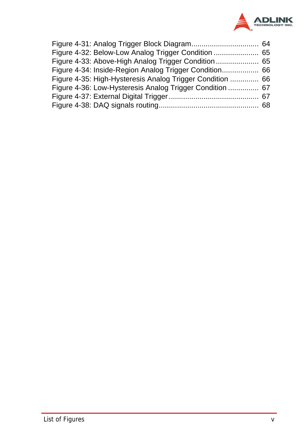

| Figure 4-32: Below-Low Analog Trigger Condition  65       |  |
|-----------------------------------------------------------|--|
|                                                           |  |
| Figure 4-34: Inside-Region Analog Trigger Condition 66    |  |
| Figure 4-35: High-Hysteresis Analog Trigger Condition  66 |  |
| Figure 4-36: Low-Hysteresis Analog Trigger Condition  67  |  |
|                                                           |  |
|                                                           |  |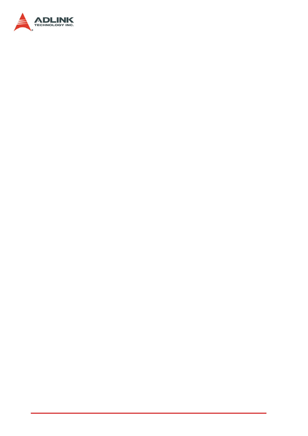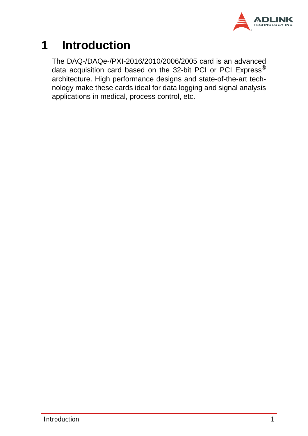

# <span id="page-12-0"></span>**1 Introduction**

The DAQ-/DAQe-/PXI-2016/2010/2006/2005 card is an advanced data acquisition card based on the 32-bit PCI or PCI Express® architecture. High performance designs and state-of-the-art technology make these cards ideal for data logging and signal analysis applications in medical, process control, etc.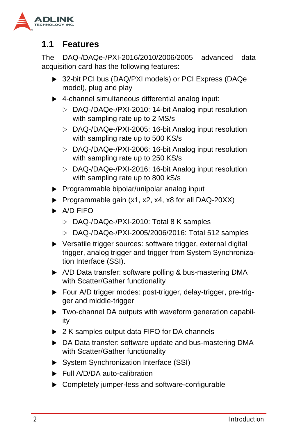

## <span id="page-13-0"></span>**1.1 Features**

The DAQ-/DAQe-/PXI-2016/2010/2006/2005 advanced data acquisition card has the following features:

- ▶ 32-bit PCI bus (DAQ/PXI models) or PCI Express (DAQe model), plug and play
- $\blacktriangleright$  4-channel simultaneous differential analog input:
	- $\triangleright$  DAQ-/DAQe-/PXI-2010: 14-bit Analog input resolution with sampling rate up to 2 MS/s
	- $\triangleright$  DAQ-/DAQe-/PXI-2005: 16-bit Analog input resolution with sampling rate up to 500 KS/s
	- $\triangleright$  DAQ-/DAQe-/PXI-2006: 16-bit Analog input resolution with sampling rate up to 250 KS/s
	- $\triangleright$  DAQ-/DAQe-/PXI-2016: 16-bit Analog input resolution with sampling rate up to 800 kS/s
- $\blacktriangleright$  Programmable bipolar/unipolar analog input
- $\triangleright$  Programmable gain (x1, x2, x4, x8 for all DAQ-20XX)
- $\blacktriangleright$  A/D FIFO
	- $\triangleright$  DAQ-/DAQe-/PXI-2010: Total 8 K samples
	- $\triangleright$  DAQ-/DAQe-/PXI-2005/2006/2016: Total 512 samples
- $\triangleright$  Versatile trigger sources: software trigger, external digital trigger, analog trigger and trigger from System Synchronization Interface (SSI).
- ▶ A/D Data transfer: software polling & bus-mastering DMA with Scatter/Gather functionality
- ▶ Four A/D trigger modes: post-trigger, delay-trigger, pre-trigger and middle-trigger
- $\triangleright$  Two-channel DA outputs with waveform generation capability
- $\triangleright$  2 K samples output data FIFO for DA channels
- ▶ DA Data transfer: software update and bus-mastering DMA with Scatter/Gather functionality
- ▶ System Synchronization Interface (SSI)
- $\blacktriangleright$  Full A/D/DA auto-calibration
- $\triangleright$  Completely jumper-less and software-configurable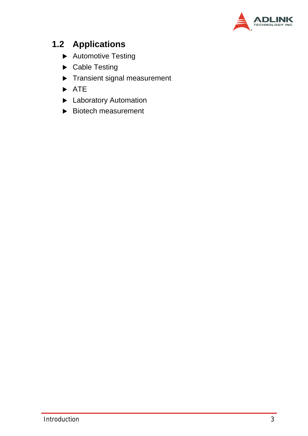

## <span id="page-14-0"></span>**1.2 Applications**

- $\blacktriangleright$  Automotive Testing
- $\blacktriangleright$  Cable Testing
- $\blacktriangleright$  Transient signal measurement
- $\blacktriangleright$  ATE
- $\blacktriangleright$  Laboratory Automation
- $\blacktriangleright$  Biotech measurement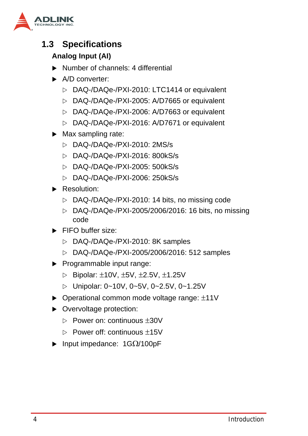

## <span id="page-15-0"></span>**1.3 Specifications**

### **Analog Input (AI)**

- $\blacktriangleright$  Number of channels: 4 differential
- $\blacktriangleright$  A/D converter:
	- $\triangleright$  DAQ-/DAQe-/PXI-2010: LTC1414 or equivalent
	- $\triangleright$  DAQ-/DAQe-/PXI-2005: A/D7665 or equivalent
	- $\triangleright$  DAQ-/DAQe-/PXI-2006: A/D7663 or equivalent
	- $\triangleright$  DAQ-/DAQe-/PXI-2016: A/D7671 or equivalent
- $\blacktriangleright$  Max sampling rate:
	- $D$  DAQ-/DAQe-/PXI-2010: 2MS/s
	- $D$  DAQ-/DAQe-/PXI-2016: 800kS/s
	- $\triangleright$  DAQ-/DAQe-/PXI-2005: 500kS/s
	- $D$  DAQ-/DAQe-/PXI-2006: 250kS/s
- $\blacktriangleright$  Resolution:
	- $\triangleright$  DAQ-/DAQe-/PXI-2010: 14 bits, no missing code
	- $\triangleright$  DAQ-/DAQe-/PXI-2005/2006/2016: 16 bits, no missing code
- $\blacktriangleright$  FIFO buffer size:
	- $\triangleright$  DAQ-/DAQe-/PXI-2010: 8K samples
	- $\triangleright$  DAQ-/DAQe-/PXI-2005/2006/2016: 512 samples
- $\blacktriangleright$  Programmable input range:
	- $\triangleright$  Bipolar:  $\pm 10V$ ,  $\pm 5V$ ,  $\pm 2.5V$ ,  $\pm 1.25V$
	- $\triangleright$  Unipolar: 0~10V, 0~5V, 0~2.5V, 0~1.25V
- $\triangleright$  Operational common mode voltage range:  $\pm 11V$
- $\triangleright$  Overvoltage protection:
	- $\triangleright$  Power on: continuous  $\pm 30V$
	- $\triangleright$  Power off: continuous  $\pm$ 15V
- $\blacktriangleright$  Input impedance: 1G $\Omega$ /100pF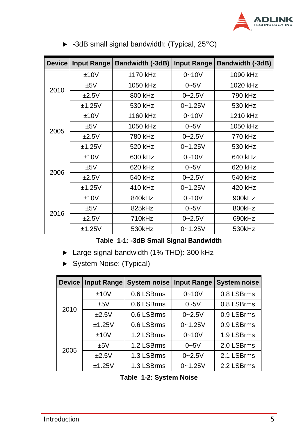

| <b>Device</b> | <b>Input Range</b> | Bandwidth (-3dB) | <b>Input Range</b> | Bandwidth (-3dB) |
|---------------|--------------------|------------------|--------------------|------------------|
|               | ±10V               | 1170 kHz         | $0 - 10V$          | 1090 kHz         |
| 2010          | ±5V                | 1050 kHz         | $0 - 5V$           | 1020 kHz         |
|               | ±2.5V              | 800 kHz          | $0 - 2.5V$         | 790 kHz          |
|               | ±1.25V             | 530 kHz          | $0 - 1.25V$        | 530 kHz          |
|               | ±10V               | 1160 kHz         | $0 - 10V$          | 1210 kHz         |
| 2005          | ±5V                | 1050 kHz         | $0 - 5V$           | 1050 kHz         |
|               | ±2.5V              | 780 kHz          | $0 - 2.5V$         | 770 kHz          |
|               | ±1.25V             | 520 kHz          | $0 - 1.25V$        | 530 kHz          |
|               | ±10V               | 630 kHz          | $0 - 10V$          | 640 kHz          |
| 2006          | ±5V                | 620 kHz          | $0 - 5V$           | 620 kHz          |
|               | ±2.5V              | 540 kHz          | $0 - 2.5V$         | 540 kHz          |
|               | ±1.25V             | 410 kHz          | $0 - 1.25V$        | 420 kHz          |
| 2016          | ±10V               | 840kHz           | $0 - 10V$          | 900kHz           |
|               | ±5V                | 825kHz           | $0 - 5V$           | 800kHz           |
|               | ±2.5V              | 710kHz           | $0 - 2.5V$         | 690kHz           |
|               | ±1.25V             | 530kHz           | $0 - 1.25V$        | 530kHz           |

 $\blacktriangleright$  -3dB small signal bandwidth: (Typical, 25 $^{\circ}$ C)

**Table 1-1: -3dB Small Signal Bandwidth**

- <span id="page-16-0"></span>▶ Large signal bandwidth (1% THD): 300 kHz
- System Noise: (Typical)

| <b>Device</b> | <b>Input Range</b> | <b>System noise</b> | <b>Input Range</b> | <b>System noise</b> |
|---------------|--------------------|---------------------|--------------------|---------------------|
|               | ±10V               | 0.6 LSBrms          | $0 - 10V$          | 0.8 LSBrms          |
| 2010          | ±5V                | 0.6 LSBrms          | $0 - 5V$           | 0.8 LSBrms          |
|               | ±2.5V              | 0.6 LSBrms          | $0 - 2.5V$         | 0.9 LSBrms          |
|               | ±1.25V             | 0.6 LSBrms          | $0 - 1.25V$        | 0.9 LSBrms          |
| 2005          | ±10V               | 1.2 LSBrms          | $0 - 10V$          | 1.9 LSBrms          |
|               | ±5V                | 1.2 LSBrms          | $0 - 5V$           | 2.0 LSBrms          |
|               | ±2.5V              | 1.3 LSBrms          | $0 - 2.5V$         | 2.1 LSBrms          |
|               | ±1.25V             | 1.3 LSBrms          | $0 - 1.25V$        | 2.2 LSBrms          |

<span id="page-16-1"></span>**Table 1-2: System Noise**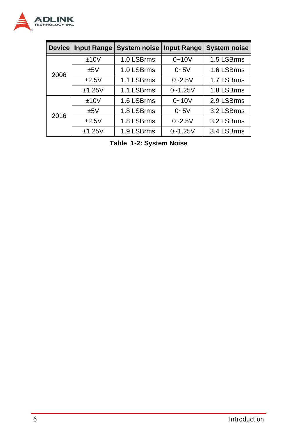

| <b>Device</b> | <b>Input Range</b> | <b>System noise</b> | <b>Input Range</b> | <b>System noise</b> |
|---------------|--------------------|---------------------|--------------------|---------------------|
|               | ±10V               | 1.0 LSBrms          | $0 - 10V$          | 1.5 LSBrms          |
| 2006          | ±5V                | 1.0 LSBrms          | $0 - 5V$           | 1.6 LSBrms          |
|               | ±2.5V              | 1.1 LSBrms          | $0 - 2.5V$         | 1.7 LSBrms          |
|               | ±1.25V             | 1.1 LSBrms          | $0 - 1.25V$        | 1.8 LSBrms          |
| 2016          | ±10V               | 1.6 LSBrms          | $0 - 10V$          | 2.9 LSBrms          |
|               | ±5V                | 1.8 LSBrms          | $0 - 5V$           | 3.2 LSBrms          |
|               | ±2.5V              | 1.8 LSBrms          | $0 - 2.5V$         | 3.2 LSBrms          |
|               | ±1.25V             | 1.9 LSBrms          | $0 - 1.25V$        | 3.4 LSBrms          |

**Table 1-2: System Noise**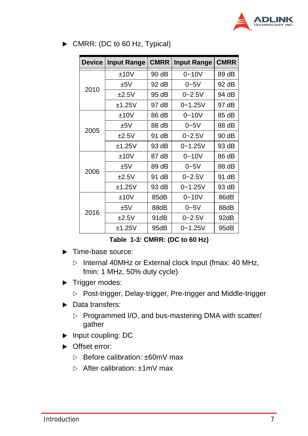

|  | • CMRR: (DC to 60 Hz, Typical) |  |  |  |
|--|--------------------------------|--|--|--|
|--|--------------------------------|--|--|--|

| <b>Device</b> | <b>Input Range</b> | <b>CMRR</b> | <b>Input Range</b> | <b>CMRR</b> |
|---------------|--------------------|-------------|--------------------|-------------|
|               | ±10V               | 90 dB       | $0 - 10V$          | 89 dB       |
| 2010          | ±5V                | 92 dB       | $0 - 5V$           | 92 dB       |
|               | ±2.5V              | 95 dB       | $0 - 2.5V$         | 94 dB       |
|               | ±1.25V             | 97 dB       | $0 - 1.25V$        | 97 dB       |
|               | ±10V               | 86 dB       | $0 - 10V$          | 85 dB       |
| 2005          | ±5V                | 88 dB       | $0 - 5V$           | 88 dB       |
|               | ±2.5V              | 91 dB       | $0 - 2.5V$         | 90 dB       |
|               | ±1.25V             | 93 dB       | $0 - 1.25V$        | 93 dB       |
|               | ±10V               | 87 dB       | $0 - 10V$          | 86 dB       |
| 2006          | ±5V                | 89 dB       | $0 - 5V$           | 88 dB       |
|               | ±2.5V              | 91 dB       | $0 - 2.5V$         | 91 dB       |
|               | ±1.25V             | 93 dB       | $0 - 1.25V$        | 93 dB       |
|               | ±10V               | 85dB        | $0 - 10V$          | 86dB        |
| 2016          | ±5V                | 88dB        | $0 - 5V$           | 88dB        |
|               | ±2.5V              | 91dB        | $0 - 2.5V$         | 92dB        |
|               | ±1.25V             | 95dB        | 0~1.25V            | 95dB        |

**Table 1-3: CMRR: (DC to 60 Hz)**

- <span id="page-18-0"></span> $\blacktriangleright$  Time-base source:
	- $\triangleright$  Internal 40MHz or External clock Input (fmax: 40 MHz, fmin: 1 MHz, 50% duty cycle)
- $\blacktriangleright$  Trigger modes:
	- $\triangleright$  Post-trigger, Delay-trigger, Pre-trigger and Middle-trigger
- $\blacktriangleright$  Data transfers:
	- $\triangleright$  Programmed I/O, and bus-mastering DMA with scatter/ gather
- $\blacktriangleright$  Input coupling: DC
- $\triangleright$  Offset error:
	- $\triangleright$  Before calibration:  $\pm 60$ mV max
	- $\triangleright$  After calibration:  $+1$ mV max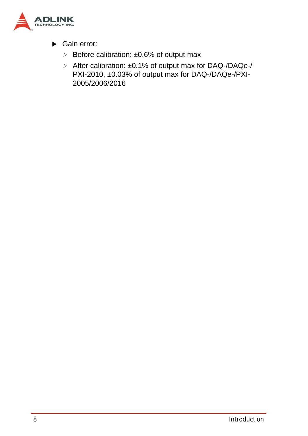

- $\blacktriangleright$  Gain error:
	- $\triangleright$  Before calibration: ±0.6% of output max
	- $\triangleright$  After calibration: ±0.1% of output max for DAQ-/DAQe-/ PXI-2010, ±0.03% of output max for DAQ-/DAQe-/PXI-2005/2006/2016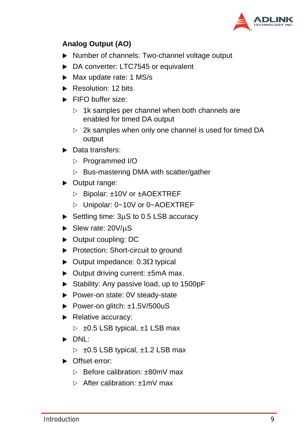

#### **Analog Output (AO)**

- $\blacktriangleright$  Number of channels: Two-channel voltage output
- ▶ DA converter: LTC7545 or equivalent
- $\blacktriangleright$  Max update rate: 1 MS/s
- $\blacktriangleright$  Resolution: 12 bits
- $\blacktriangleright$  FIFO buffer size:
	- $\triangleright$  1k samples per channel when both channels are enabled for timed DA output
	- $\triangleright$  2k samples when only one channel is used for timed DA output
- $\blacktriangleright$  Data transfers:
	- $\triangleright$  Programmed I/O
	- $\triangleright$  Bus-mastering DMA with scatter/gather
- $\blacktriangleright$  Output range:
	- $\triangleright$  Bipolar:  $\pm$ 10V or  $\pm$ AOEXTREF
	- $\triangleright$  Unipolar: 0~10V or 0~AOEXTREF
- $\triangleright$  Settling time: 3µS to 0.5 LSB accuracy
- $\triangleright$  Slew rate: 20V/ $\mu$ S
- $\triangleright$  Output coupling: DC
- $\blacktriangleright$  Protection: Short-circuit to ground
- $\triangleright$  Output impedance: 0.3 $\Omega$  typical
- $\triangleright$  Output driving current:  $\pm$ 5mA max.
- $\triangleright$  Stability: Any passive load, up to 1500pF
- $\blacktriangleright$  Power-on state: 0V steady-state
- $\triangleright$  Power-on glitch:  $\pm$ 1.5V/500uS
- $\blacktriangleright$  Relative accuracy:
	- $\triangleright$  ±0.5 LSB typical, ±1 LSB max
- $\triangleright$  DNL:
	- $\triangleright$   $\pm$ 0.5 LSB typical,  $\pm$ 1.2 LSB max
- $\triangleright$  Offset error:
	- $\triangleright$  Before calibration:  $\pm 80$ mV max
	- $\triangleright$  After calibration:  $\pm 1$ mV max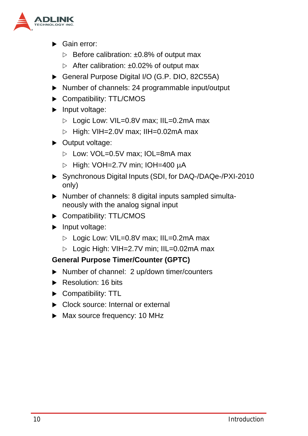

- $\blacktriangleright$  Gain error:
	- $\triangleright$  Before calibration:  $\pm 0.8\%$  of output max
	- $\triangleright$  After calibration:  $\pm 0.02\%$  of output max
- General Purpose Digital I/O (G.P. DIO, 82C55A)
- $\triangleright$  Number of channels: 24 programmable input/output
- $\triangleright$  Compatibility: TTL/CMOS
- $\blacktriangleright$  Input voltage:
	- $\triangleright$  Logic Low: VIL=0.8V max; IIL=0.2mA max
	- $\triangleright$  High: VIH=2.0V max; IIH=0.02mA max
- $\blacktriangleright$  Output voltage:
	- $\triangleright$  Low: VOL=0.5V max; IOL=8mA max
	- $\triangleright$  High: VOH=2.7V min; IOH=400 μA
- ▶ Synchronous Digital Inputs (SDI, for DAQ-/DAQe-/PXI-2010 only)
- $\triangleright$  Number of channels: 8 digital inputs sampled simultaneously with the analog signal input
- Compatibility: TTL/CMOS
- $\blacktriangleright$  Input voltage:
	- $\triangleright$  Logic Low: VIL=0.8V max; IIL=0.2mA max
	- $\triangleright$  Logic High: VIH=2.7V min; IIL=0.02mA max

#### **General Purpose Timer/Counter (GPTC)**

- $\triangleright$  Number of channel: 2 up/down timer/counters
- Resolution: 16 bits
- $\triangleright$  Compatibility: TTL
- $\triangleright$  Clock source: Internal or external
- $\blacktriangleright$  Max source frequency: 10 MHz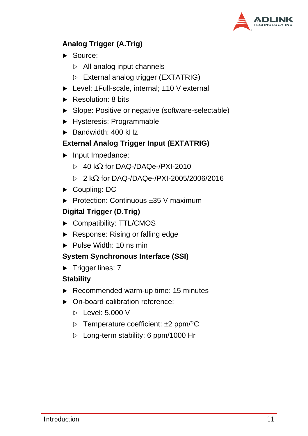

#### **Analog Trigger (A.Trig)**

- $\blacktriangleright$  Source:
	- $\triangleright$  All analog input channels
	- $\triangleright$  External analog trigger (EXTATRIG)
- Eevel:  $\pm$ Full-scale, internal;  $\pm$ 10 V external
- $\blacktriangleright$  Resolution: 8 bits
- $\triangleright$  Slope: Positive or negative (software-selectable)
- $\blacktriangleright$  Hysteresis: Programmable
- $\blacktriangleright$  Bandwidth: 400 kHz

### **External Analog Trigger Input (EXTATRIG)**

- $\blacktriangleright$  Input Impedance:
	- $\triangleright$  40 k $\Omega$  for DAQ-/DAQe-/PXI-2010
	- $\triangleright$  2 kΩ for DAQ-/DAQe-/PXI-2005/2006/2016
- $\blacktriangleright$  Coupling: DC
- $\triangleright$  Protection: Continuous  $\pm 35$  V maximum

#### **Digital Trigger (D.Trig)**

- $\triangleright$  Compatibility: TTL/CMOS
- $\blacktriangleright$  Response: Rising or falling edge
- $\blacktriangleright$  Pulse Width: 10 ns min

#### **System Synchronous Interface (SSI)**

 $\blacktriangleright$  Trigger lines: 7

#### **Stability**

- $\triangleright$  Recommended warm-up time: 15 minutes
- $\triangleright$  On-board calibration reference:
	- $\triangleright$  Level: 5.000 V
	- $\triangleright$  Temperature coefficient: ±2 ppm/°C
	- $\triangleright$  Long-term stability: 6 ppm/1000 Hr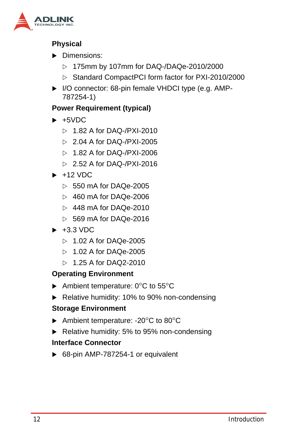

#### **Physical**

- $\triangleright$  Dimensions:
	- $\triangleright$  175mm by 107mm for DAQ-/DAQe-2010/2000
	- $\triangleright$  Standard CompactPCI form factor for PXI-2010/2000
- ▶ I/O connector: 68-pin female VHDCI type (e.g. AMP-787254-1)

### **Power Requirement (typical)**

- $\blacktriangleright$  +5VDC
	- $\triangleright$  1.82 A for DAQ-/PXI-2010
	- $\triangleright$  2.04 A for DAQ-/PXI-2005
	- $> 1.82$  A for DAQ-/PXI-2006
	- $\triangleright$  2.52 A for DAQ-/PXI-2016
- $\blacktriangleright$  +12 VDC
	- $\triangleright$  550 mA for DAQe-2005
	- $\geq 460$  mA for DAQe-2006
	- $\geq 448$  mA for DAQe-2010
	- $>$  569 mA for DAQe-2016
- $\blacktriangleright$  +3.3 VDC
	- $\triangleright$  1.02 A for DAQe-2005
	- $\triangleright$  1.02 A for DAQe-2005
	- $> 1.25$  A for DAQ2-2010

#### **Operating Environment**

- Ambient temperature:  $0^{\circ}$ C to 55 $^{\circ}$ C
- $\blacktriangleright$  Relative humidity: 10% to 90% non-condensing

#### **Storage Environment**

- Ambient temperature: -20 $^{\circ}$ C to 80 $^{\circ}$ C
- $\blacktriangleright$  Relative humidity: 5% to 95% non-condensing

#### **Interface Connector**

 $\triangleright$  68-pin AMP-787254-1 or equivalent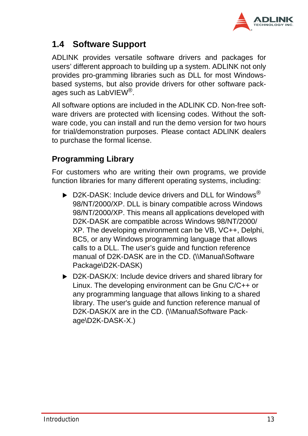

## <span id="page-24-0"></span>**1.4 Software Support**

ADLINK provides versatile software drivers and packages for users' different approach to building up a system. ADLINK not only provides pro-gramming libraries such as DLL for most Windowsbased systems, but also provide drivers for other software packages such as LabVIEW®.

All software options are included in the ADLINK CD. Non-free software drivers are protected with licensing codes. Without the software code, you can install and run the demo version for two hours for trial/demonstration purposes. Please contact ADLINK dealers to purchase the formal license.

## <span id="page-24-1"></span>**Programming Library**

For customers who are writing their own programs, we provide function libraries for many different operating systems, including:

- $\triangleright$  D2K-DASK: Include device drivers and DLL for Windows<sup>®</sup> 98/NT/2000/XP. DLL is binary compatible across Windows 98/NT/2000/XP. This means all applications developed with D2K-DASK are compatible across Windows 98/NT/2000/ XP. The developing environment can be VB, VC++, Delphi, BC5, or any Windows programming language that allows calls to a DLL. The user's guide and function reference manual of D2K-DASK are in the CD. (\\Manual\Software Package\D2K-DASK)
- $\triangleright$  D2K-DASK/X: Include device drivers and shared library for Linux. The developing environment can be Gnu C/C++ or any programming language that allows linking to a shared library. The user's guide and function reference manual of D2K-DASK/X are in the CD. (\\Manual\Software Package\D2K-DASK-X.)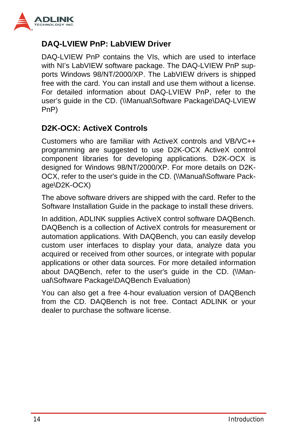

#### <span id="page-25-0"></span>**DAQ-LVIEW PnP: LabVIEW Driver**

DAQ-LVIEW PnP contains the VIs, which are used to interface with NI's LabVIEW software package. The DAQ-LVIEW PnP supports Windows 98/NT/2000/XP. The LabVIEW drivers is shipped free with the card. You can install and use them without a license. For detailed information about DAQ-LVIEW PnP, refer to the user's guide in the CD. (\\Manual\Software Package\DAQ-LVIEW PnP)

### <span id="page-25-1"></span>**D2K-OCX: ActiveX Controls**

Customers who are familiar with ActiveX controls and VB/VC++ programming are suggested to use D2K-OCX ActiveX control component libraries for developing applications. D2K-OCX is designed for Windows 98/NT/2000/XP. For more details on D2K-OCX, refer to the user's guide in the CD. (\\Manual\Software Package\D2K-OCX)

The above software drivers are shipped with the card. Refer to the Software Installation Guide in the package to install these drivers.

In addition, ADLINK supplies ActiveX control software DAQBench. DAQBench is a collection of ActiveX controls for measurement or automation applications. With DAQBench, you can easily develop custom user interfaces to display your data, analyze data you acquired or received from other sources, or integrate with popular applications or other data sources. For more detailed information about DAQBench, refer to the user's guide in the CD. (\\Manual\Software Package\DAQBench Evaluation)

You can also get a free 4-hour evaluation version of DAQBench from the CD. DAQBench is not free. Contact ADLINK or your dealer to purchase the software license.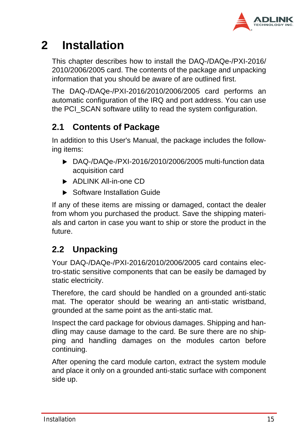

# <span id="page-26-0"></span>**2 Installation**

This chapter describes how to install the DAQ-/DAQe-/PXI-2016/ 2010/2006/2005 card. The contents of the package and unpacking information that you should be aware of are outlined first.

The DAQ-/DAQe-/PXI-2016/2010/2006/2005 card performs an automatic configuration of the IRQ and port address. You can use the PCI SCAN software utility to read the system configuration.

## <span id="page-26-1"></span>**2.1 Contents of Package**

In addition to this User's Manual, the package includes the following items:

- $\triangleright$  DAQ-/DAQe-/PXI-2016/2010/2006/2005 multi-function data acquisition card
- $\blacktriangleright$  ADLINK All-in-one CD
- $\triangleright$  Software Installation Guide

If any of these items are missing or damaged, contact the dealer from whom you purchased the product. Save the shipping materials and carton in case you want to ship or store the product in the future.

## <span id="page-26-2"></span>**2.2 Unpacking**

Your DAQ-/DAQe-/PXI-2016/2010/2006/2005 card contains electro-static sensitive components that can be easily be damaged by static electricity.

Therefore, the card should be handled on a grounded anti-static mat. The operator should be wearing an anti-static wristband, grounded at the same point as the anti-static mat.

Inspect the card package for obvious damages. Shipping and handling may cause damage to the card. Be sure there are no shipping and handling damages on the modules carton before continuing.

After opening the card module carton, extract the system module and place it only on a grounded anti-static surface with component side up.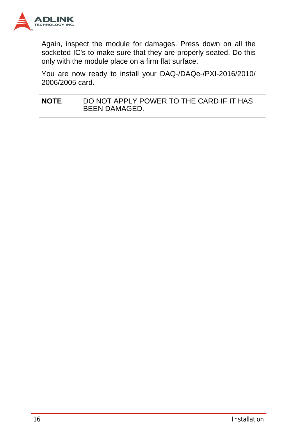

Again, inspect the module for damages. Press down on all the socketed IC's to make sure that they are properly seated. Do this only with the module place on a firm flat surface.

You are now ready to install your DAQ-/DAQe-/PXI-2016/2010/ 2006/2005 card.

**NOTE** DO NOT APPLY POWER TO THE CARD IF IT HAS BEEN DAMAGED.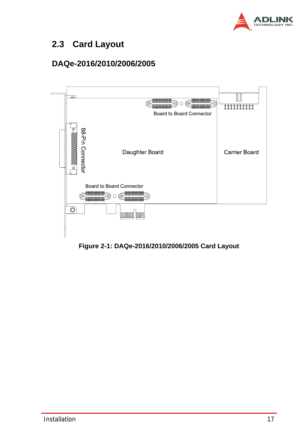

## <span id="page-28-0"></span>**2.3 Card Layout**

### <span id="page-28-1"></span>**DAQe-2016/2010/2006/2005**



<span id="page-28-2"></span>**Figure 2-1: DAQe-2016/2010/2006/2005 Card Layout**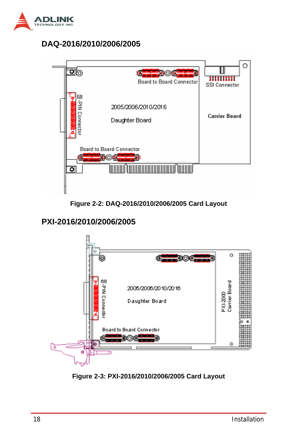

## <span id="page-29-0"></span>**DAQ-2016/2010/2006/2005**



**Figure 2-2: DAQ-2016/2010/2006/2005 Card Layout**

## <span id="page-29-2"></span><span id="page-29-1"></span>**PXI-2016/2010/2006/2005**



<span id="page-29-3"></span>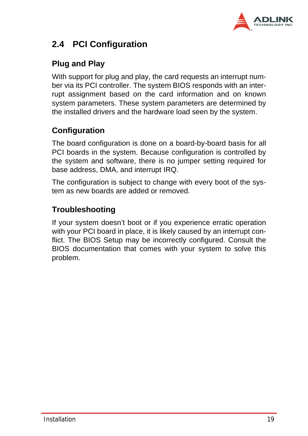

## <span id="page-30-0"></span>**2.4 PCI Configuration**

### <span id="page-30-1"></span>**Plug and Play**

With support for plug and play, the card requests an interrupt number via its PCI controller. The system BIOS responds with an interrupt assignment based on the card information and on known system parameters. These system parameters are determined by the installed drivers and the hardware load seen by the system.

### <span id="page-30-2"></span>**Configuration**

The board configuration is done on a board-by-board basis for all PCI boards in the system. Because configuration is controlled by the system and software, there is no jumper setting required for base address, DMA, and interrupt IRQ.

The configuration is subject to change with every boot of the system as new boards are added or removed.

### <span id="page-30-3"></span>**Troubleshooting**

If your system doesn't boot or if you experience erratic operation with your PCI board in place, it is likely caused by an interrupt conflict. The BIOS Setup may be incorrectly configured. Consult the BIOS documentation that comes with your system to solve this problem.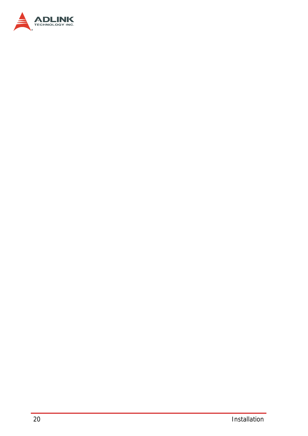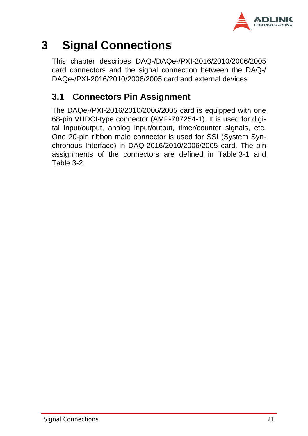

# <span id="page-32-0"></span>**3 Signal Connections**

This chapter describes DAQ-/DAQe-/PXI-2016/2010/2006/2005 card connectors and the signal connection between the DAQ-/ DAQe-/PXI-2016/2010/2006/2005 card and external devices.

## <span id="page-32-1"></span>**3.1 Connectors Pin Assignment**

The DAQe-/PXI-2016/2010/2006/2005 card is equipped with one 68-pin VHDCI-type connector (AMP-787254-1). It is used for digital input/output, analog input/output, timer/counter signals, etc. One 20-pin ribbon male connector is used for SSI (System Synchronous Interface) in DAQ-2016/2010/2006/2005 card. The pin assignments of the connectors are defined in [Table 3-1](#page-33-1) and [Table 3-2](#page-34-0).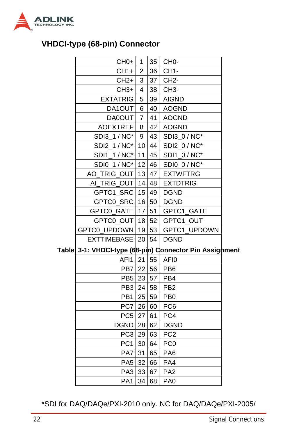

## <span id="page-33-0"></span>**VHDCI-type (68-pin) Connector**

| CH <sub>0+</sub>   | 1               | 35    | CH <sub>0</sub> - |  |
|--------------------|-----------------|-------|-------------------|--|
| $CH1+$             | 2               | 36    | CH <sub>1</sub> - |  |
| $CH2+$             | 3               | 37    | CH <sub>2</sub> - |  |
| $CH3+$             | 4               | 38    | CH <sub>3</sub> - |  |
| <b>EXTATRIG</b>    | 5               | 39    | <b>AIGND</b>      |  |
| DA1OUT             | 6               | 40    | <b>AOGND</b>      |  |
| DA0OUT             | 7               | 41    | AOGND             |  |
| <b>AOEXTREF</b>    | 8               | 42    | <b>AOGND</b>      |  |
| SDI3 1 / NC*       | 9               | 43    | SDI3 0/NC*        |  |
| SDI2 1 / NC*       | 10              | 44    | SDI2_0 / NC*      |  |
| SDI1_1 / NC*       | 11              | 45    | SDI1_0 / NC*      |  |
| SDI0_1 / NC*       | 12              | 46    | SDI0_0 / NC*      |  |
| AO_TRIG_OUT        | 13              | 47    | <b>EXTWFTRG</b>   |  |
| AI_TRIG_OUT        | 14              | 48    | <b>EXTDTRIG</b>   |  |
| GPTC1_SRC          | 15              | 49    | <b>DGND</b>       |  |
| GPTC0_SRC          | 16              | 50    | <b>DGND</b>       |  |
| GPTC0 GATE         | 17 <sup>1</sup> | 51    | GPTC1_GATE        |  |
| GPTC0_OUT          | 18 <sup>1</sup> | 52    | GPTC1_OUT         |  |
| GPTC0_UPDOWN       |                 | 19 53 | GPTC1_UPDOWN      |  |
| <b>EXTTIMEBASE</b> | 20 <sub>1</sub> | 54    | <b>DGND</b>       |  |
|                    |                 |       |                   |  |
| AF <sub>11</sub>   |                 | 21 55 | AFI0              |  |
| PB7 22 56          |                 |       | PB6               |  |
| PB5 23 57          |                 |       | PB <sub>4</sub>   |  |
| PB <sub>3</sub>    | 24 58           |       | PB <sub>2</sub>   |  |
| PB1                | 25              | 59    | PB <sub>0</sub>   |  |
| PC7                | 26              | 60    | PC <sub>6</sub>   |  |
| PC <sub>5</sub>    | 27 <sub>l</sub> | 61    | PC4               |  |
| DGND               | 28              | 62    | <b>DGND</b>       |  |
| PC3                | 29              | 63    | PC <sub>2</sub>   |  |
| PC1                | 30 <sub>1</sub> | 64    | PC <sub>0</sub>   |  |
| PA7                | 31              | 65    | PA <sub>6</sub>   |  |
| PA5                | 32              | 66    | PA4               |  |
| PA3                | 33              | 67    | PA <sub>2</sub>   |  |
| PA <sub>1</sub>    | 34              | 68    | PA <sub>0</sub>   |  |

<span id="page-33-1"></span>\*SDI for DAQ/DAQe/PXI-2010 only. NC for DAQ/DAQe/PXI-2005/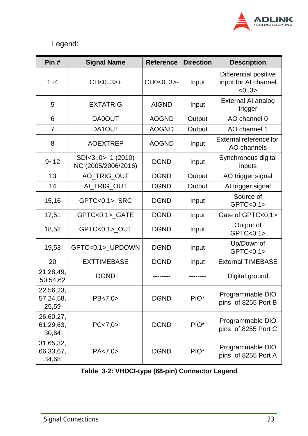

## Legend:

| Pin#                            | <b>Signal Name</b>                      | <b>Reference</b> | <b>Direction</b> | <b>Description</b>                                     |
|---------------------------------|-----------------------------------------|------------------|------------------|--------------------------------------------------------|
| $1 - 4$                         | $CH < 0.3$ $\rightarrow$ +              | CH0<03>-         | Input            | Differential positive<br>input for AI channel<br>< 03> |
| 5                               | EXTATRIG                                | <b>AIGND</b>     | Input            | External AI analog<br>trigger                          |
| 6                               | <b>DA0OUT</b>                           | <b>AOGND</b>     | Output           | AO channel 0                                           |
| $\overline{7}$                  | DA1OUT                                  | <b>AOGND</b>     | Output           | AO channel 1                                           |
| 8                               | <b>AOEXTREF</b>                         | <b>AOGND</b>     | Input            | External reference for<br>AO channels                  |
| $9 - 12$                        | SDI<30>_1 (2010)<br>NC (2005/2006/2016) | <b>DGND</b>      | Input            | Synchronous digital<br>inputs                          |
| 13                              | AO_TRIG_OUT                             | <b>DGND</b>      | Output           | AO trigger signal                                      |
| 14                              | AI_TRIG_OUT                             | <b>DGND</b>      | Output           | Al trigger signal                                      |
| 15,16                           | GPTC<0,1> SRC                           | <b>DGND</b>      | Input            | Source of<br>GPTC<0,1>                                 |
| 17,51                           | GPTC<0,1> GATE                          | <b>DGND</b>      | Input            | Gate of GPTC<0,1>                                      |
| 18,52                           | GPTC<0,1>_OUT                           | <b>DGND</b>      | Input            | Output of<br>GPTC<0,1>                                 |
| 19,53                           | GPTC<0,1>_UPDOWN                        | <b>DGND</b>      | Input            | Up/Down of<br>GPTC<0,1>                                |
| 20                              | <b>EXTTIMEBASE</b>                      | <b>DGND</b>      | Input            | <b>External TIMEBASE</b>                               |
| 21,28,49,<br>50,54,62           | <b>DGND</b>                             |                  |                  | Digital ground                                         |
| 22,56,23,<br>57,24,58,<br>25,59 | PB<7,0>                                 | <b>DGND</b>      | PIO <sup>*</sup> | Programmable DIO<br>pins of 8255 Port B                |
| 26,60,27,<br>61,29,63,<br>30,64 | PC < 7,0 >                              | <b>DGND</b>      | PIO <sup>*</sup> | Programmable DIO<br>pins of 8255 Port C                |
| 31,65,32,<br>66,33,67,<br>34,68 | PA < 7,0 >                              | <b>DGND</b>      | PIO*             | Programmable DIO<br>pins of 8255 Port A                |

### <span id="page-34-0"></span>**Table 3-2: VHDCI-type (68-pin) Connector Legend**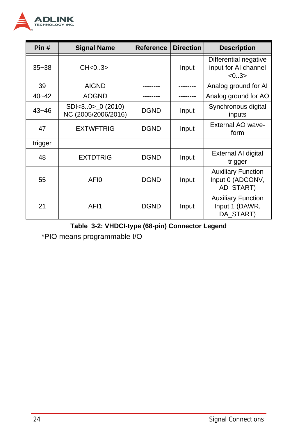

| Pin#      | <b>Signal Name</b>                      | <b>Reference</b> | <b>Direction</b> | <b>Description</b>                                         |
|-----------|-----------------------------------------|------------------|------------------|------------------------------------------------------------|
| $35 - 38$ | CH < 0.3                                |                  | Input            | Differential negative<br>input for AI channel<br>< 0.3>    |
| 39        | <b>AIGND</b>                            |                  |                  | Analog ground for Al                                       |
| $40 - 42$ | <b>AOGND</b>                            |                  |                  | Analog ground for AO                                       |
| $43 - 46$ | SDI<30>_0 (2010)<br>NC (2005/2006/2016) | <b>DGND</b>      | Input            | Synchronous digital<br>inputs                              |
| 47        | <b>EXTWFTRIG</b>                        | <b>DGND</b>      | Input            | External AO wave-<br>form                                  |
| trigger   |                                         |                  |                  |                                                            |
| 48        | <b>EXTDTRIG</b>                         | <b>DGND</b>      | Input            | External AI digital<br>trigger                             |
| 55        | AFI0                                    | <b>DGND</b>      | Input            | <b>Auxiliary Function</b><br>Input 0 (ADCONV,<br>AD START) |
| 21        | AF <sub>11</sub>                        | <b>DGND</b>      | Input            | <b>Auxiliary Function</b><br>Input 1 (DAWR,<br>DA START)   |

**Table 3-2: VHDCI-type (68-pin) Connector Legend**

\*PIO means programmable I/O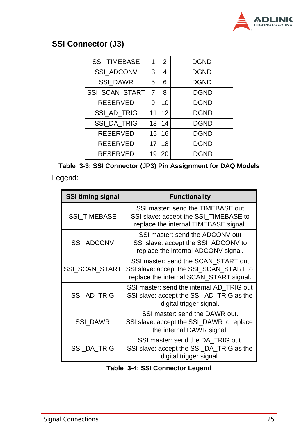

# **SSI Connector (J3)**

| <b>SSI_TIMEBASE</b> | 1  | 2                 | <b>DGND</b> |
|---------------------|----|-------------------|-------------|
| <b>SSI ADCONV</b>   | 3  | 4                 | <b>DGND</b> |
| <b>SSI DAWR</b>     | 5  | 6                 | <b>DGND</b> |
| SSI_SCAN_START      | 7  | 8                 | <b>DGND</b> |
| <b>RESERVED</b>     | 9  | 10                | <b>DGND</b> |
| SSI_AD_TRIG         | 11 | $12 \overline{ }$ | <b>DGND</b> |
| SSI_DA_TRIG         |    | 13 14             | <b>DGND</b> |
| <b>RESERVED</b>     | 15 | 16                | <b>DGND</b> |
| <b>RESERVED</b>     | 17 | 18                | <b>DGND</b> |
| <b>RESERVED</b>     | 19 | 20                | DGND        |

**Table 3-3: SSI Connector (JP3) Pin Assignment for DAQ Models**

Legend:

| <b>SSI timing signal</b> | <b>Functionality</b>                                                                                                      |
|--------------------------|---------------------------------------------------------------------------------------------------------------------------|
| <b>SSI TIMEBASE</b>      | SSI master: send the TIMEBASE out<br>SSI slave: accept the SSI_TIMEBASE to<br>replace the internal TIMEBASE signal.       |
| <b>SSI ADCONV</b>        | SSI master: send the ADCONV out<br>SSI slave: accept the SSI_ADCONV to<br>replace the internal ADCONV signal.             |
| SSI_SCAN_START           | SSI master: send the SCAN_START out<br>SSI slave: accept the SSI_SCAN_START to<br>replace the internal SCAN_START signal. |
| SSI_AD_TRIG              | SSI master: send the internal AD TRIG out<br>SSI slave: accept the SSI_AD_TRIG as the<br>digital trigger signal.          |
| <b>SSI DAWR</b>          | SSI master: send the DAWR out.<br>SSI slave: accept the SSI_DAWR to replace<br>the internal DAWR signal.                  |
| SSI DA TRIG              | SSI master: send the DA TRIG out.<br>SSI slave: accept the SSI_DA_TRIG as the<br>digital trigger signal.                  |

# **Table 3-4: SSI Connector Legend**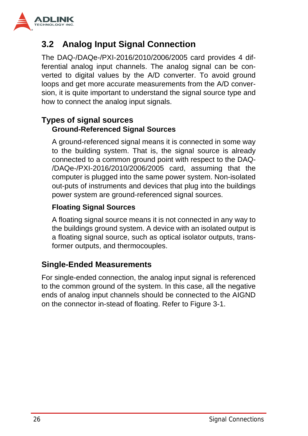

# **3.2 Analog Input Signal Connection**

The DAQ-/DAQe-/PXI-2016/2010/2006/2005 card provides 4 differential analog input channels. The analog signal can be converted to digital values by the A/D converter. To avoid ground loops and get more accurate measurements from the A/D conversion, it is quite important to understand the signal source type and how to connect the analog input signals.

### **Types of signal sources Ground-Referenced Signal Sources**

A ground-referenced signal means it is connected in some way to the building system. That is, the signal source is already connected to a common ground point with respect to the DAQ- /DAQe-/PXI-2016/2010/2006/2005 card, assuming that the computer is plugged into the same power system. Non-isolated out-puts of instruments and devices that plug into the buildings power system are ground-referenced signal sources.

## **Floating Signal Sources**

A floating signal source means it is not connected in any way to the buildings ground system. A device with an isolated output is a floating signal source, such as optical isolator outputs, transformer outputs, and thermocouples.

# **Single-Ended Measurements**

For single-ended connection, the analog input signal is referenced to the common ground of the system. In this case, all the negative ends of analog input channels should be connected to the AIGND on the connector in-stead of floating. Refer to [Figure 3-1](#page-38-0).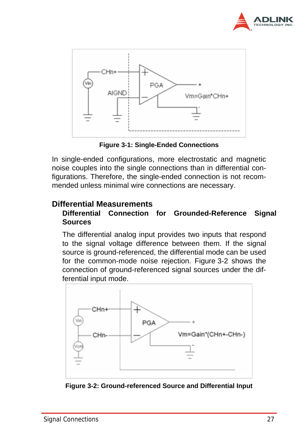



**Figure 3-1: Single-Ended Connections**

<span id="page-38-0"></span>In single-ended configurations, more electrostatic and magnetic noise couples into the single connections than in differential configurations. Therefore, the single-ended connection is not recommended unless minimal wire connections are necessary.

#### **Differential Measurements**

#### **Differential Connection for Grounded-Reference Signal Sources**

The differential analog input provides two inputs that respond to the signal voltage difference between them. If the signal source is ground-referenced, the differential mode can be used for the common-mode noise rejection. [Figure 3-2](#page-38-1) shows the connection of ground-referenced signal sources under the differential input mode.



<span id="page-38-1"></span>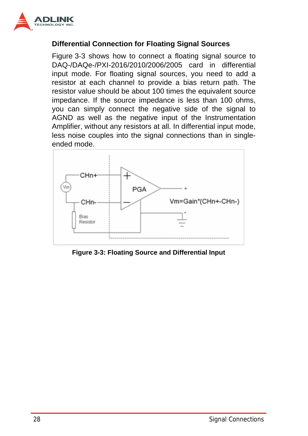

#### **Differential Connection for Floating Signal Sources**

[Figure 3-3](#page-39-0) shows how to connect a floating signal source to DAQ-/DAQe-/PXI-2016/2010/2006/2005 card in differential input mode. For floating signal sources, you need to add a resistor at each channel to provide a bias return path. The resistor value should be about 100 times the equivalent source impedance. If the source impedance is less than 100 ohms, you can simply connect the negative side of the signal to AGND as well as the negative input of the Instrumentation Amplifier, without any resistors at all. In differential input mode, less noise couples into the signal connections than in singleended mode.



<span id="page-39-0"></span>**Figure 3-3: Floating Source and Differential Input**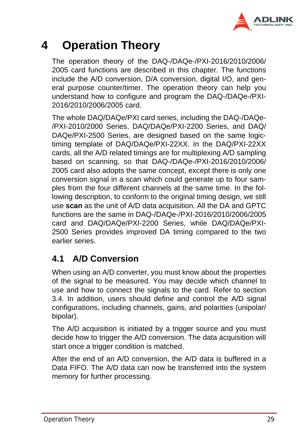

# **4 Operation Theory**

The operation theory of the DAQ-/DAQe-/PXI-2016/2010/2006/ 2005 card functions are described in this chapter. The functions include the A/D conversion, D/A conversion, digital I/O, and general purpose counter/timer. The operation theory can help you understand how to configure and program the DAQ-/DAQe-/PXI-2016/2010/2006/2005 card.

The whole DAQ/DAQe/PXI card series, including the DAQ-/DAQe- /PXI-2010/2000 Series, DAQ/DAQe/PXI-2200 Series, and DAQ/ DAQe/PXI-2500 Series, are designed based on the same logictiming template of DAQ/DAQe/PXI-22XX. In the DAQ/PXI-22XX cards, all the A/D related timings are for multiplexing A/D sampling based on scanning, so that DAQ-/DAQe-/PXI-2016/2010/2006/ 2005 card also adopts the same concept, except there is only one conversion signal in a scan which could generate up to four samples from the four different channels at the same time. In the following description, to conform to the original timing design, we still use **scan** as the unit of A/D data acquisition. All the DA and GPTC functions are the same in DAQ-/DAQe-/PXI-2016/2010/2006/2005 card and DAQ/DAQe/PXI-2200 Series, while DAQ/DAQe/PXI-2500 Series provides improved DA timing compared to the two earlier series.

# <span id="page-40-0"></span>**4.1 A/D Conversion**

When using an A/D converter, you must know about the properties of the signal to be measured. You may decide which channel to use and how to connect the signals to the card. Refer to section 3.4. In addition, users should define and control the A/D signal configurations, including channels, gains, and polarities (unipolar/ bipolar).

The A/D acquisition is initiated by a trigger source and you must decide how to trigger the A/D conversion. The data acquisition will start once a trigger condition is matched.

After the end of an A/D conversion, the A/D data is buffered in a Data FIFO. The A/D data can now be transferred into the system memory for further processing.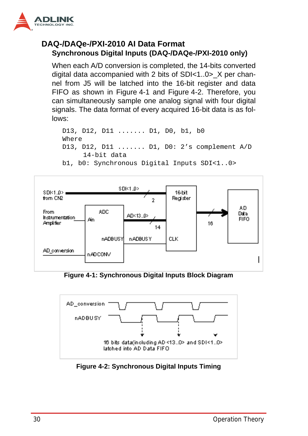

### **DAQ-/DAQe-/PXI-2010 AI Data Format Synchronous Digital Inputs (DAQ-/DAQe-/PXI-2010 only)**

When each A/D conversion is completed, the 14-bits converted digital data accompanied with 2 bits of SDI<1..0>\_X per channel from J5 will be latched into the 16-bit register and data FIFO as shown in [Figure 4-1](#page-41-0) and [Figure 4-2.](#page-41-1) Therefore, you can simultaneously sample one analog signal with four digital signals. The data format of every acquired 16-bit data is as follows:

D13, D12, D11 ....... D1, D0, b1, b0 Where D13, D12, D11 ....... D1, D0: 2's complement A/D 14-bit data b1, b0: Synchronous Digital Inputs SDI<1..0>



<span id="page-41-0"></span>**Figure 4-1: Synchronous Digital Inputs Block Diagram**



<span id="page-41-1"></span>**Figure 4-2: Synchronous Digital Inputs Timing**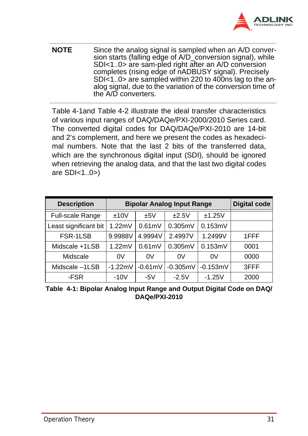

**NOTE** Since the analog signal is sampled when an A/D conversion starts (falling edge of A/D\_conversion signal), while SDI<1..0> are sam-pled right after an A/D conversion completes (rising edge of nADBUSY signal). Precisely SDI<1..0> are sampled within 220 to 400ns lag to the analog signal, due to the variation of the conversion time of the A/D converters.

[Table 4-1](#page-42-0)and [Table 4-2](#page-43-0) illustrate the ideal transfer characteristics of various input ranges of DAQ/DAQe/PXI-2000/2010 Series card. The converted digital codes for DAQ/DAQe/PXI-2010 are 14-bit and 2's complement, and here we present the codes as hexadecimal numbers. Note that the last 2 bits of the transferred data, which are the synchronous digital input (SDI), should be ignored when retrieving the analog data, and that the last two digital codes are SDI<1..0>)

| <b>Description</b>    | <b>Bipolar Analog Input Range</b> |               |            |            | <b>Digital code</b> |
|-----------------------|-----------------------------------|---------------|------------|------------|---------------------|
| Full-scale Range      | ±10V                              | ±5V           | ±2.5V      | ±1.25V     |                     |
| Least significant bit | 1.22mV                            | 0.61mV        | 0.305mV    | 0.153mV    |                     |
| FSR-1LSB              | 9.9988V                           | 4.9994V       | 2.4997V    | 1.2499V    | 1FFF                |
| Midscale +1LSB        | 1.22mV                            | 0.61mV        | 0.305mV    | 0.153mV    | 0001                |
| Midscale              | 0V                                | 0V            | 0V         | 0V         | 0000                |
| Midscale -1LSB        | $-1.22mV$                         | $-0.61$ m $V$ | $-0.305mV$ | $-0.153mV$ | 3FFF                |
| -FSR                  | $-10V$                            | $-5V$         | $-2.5V$    | $-1.25V$   | 2000                |

<span id="page-42-0"></span>**Table 4-1: Bipolar Analog Input Range and Output Digital Code on DAQ/ DAQe/PXI-2010**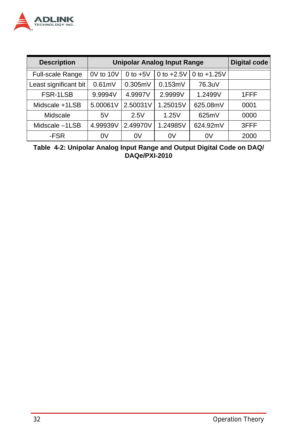

| <b>Description</b>    | <b>Unipolar Analog Input Range</b> |              |              |               | <b>Digital code</b> |
|-----------------------|------------------------------------|--------------|--------------|---------------|---------------------|
| Full-scale Range      | 0V to 10V                          | $0$ to $+5V$ | 0 to $+2.5V$ | 0 to $+1.25V$ |                     |
| Least significant bit | 0.61mV                             | 0.305mV      | 0.153mV      | 76.3uV        |                     |
| FSR-1LSB              | 9.9994V                            | 4.9997V      | 2.9999V      | 1.2499V       | 1FFF                |
| Midscale +1LSB        | 5.00061V                           | 2.50031V     | 1.25015V     | 625.08mV      | 0001                |
| Midscale              | 5V                                 | 2.5V         | 1.25V        | 625mV         | 0000                |
| Midscale -1LSB        | 4.99939V                           | 2.49970V     | 1.24985V     | 624.92mV      | 3FFF                |
| -FSR                  | 0V                                 | 0V           | 0V           | 0V            | 2000                |

<span id="page-43-0"></span>**Table 4-2: Unipolar Analog Input Range and Output Digital Code on DAQ/ DAQe/PXI-2010**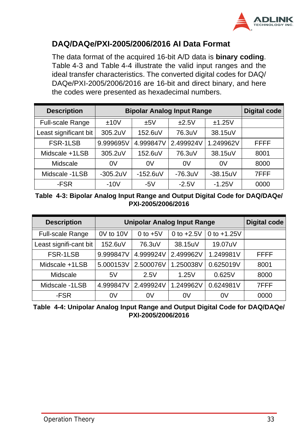

# **DAQ/DAQe/PXI-2005/2006/2016 AI Data Format**

The data format of the acquired 16-bit A/D data is **binary coding**. [Table 4-3](#page-44-0) and [Table 4-4](#page-44-1) illustrate the valid input ranges and the ideal transfer characteristics. The converted digital codes for DAQ/ DAQe/PXI-2005/2006/2016 are 16-bit and direct binary, and here the codes were presented as hexadecimal numbers.

| <b>Description</b>    | <b>Bipolar Analog Input Range</b> |             |           | <b>Digital code</b> |             |
|-----------------------|-----------------------------------|-------------|-----------|---------------------|-------------|
| Full-scale Range      | ±10V                              | ±5V         | ±2.5V     | ±1.25V              |             |
| Least significant bit | 305.2uV                           | 152.6uV     | 76.3uV    | 38.15uV             |             |
| FSR-1LSB              | 9.999695V                         | 4.999847V   | 2.499924V | 1.249962V           | <b>FFFF</b> |
| Midscale +1LSB        | 305.2uV                           | 152.6uV     | 76.3uV    | 38.15uV             | 8001        |
| Midscale              | 0V                                | 0V          | 0V        | 0V                  | 8000        |
| Midscale -1LSB        | $-305.2$ uV                       | $-152.6$ uV | $-76.3uV$ | $-38.15$ u $V$      | 7FFF        |
| -FSR                  | $-10V$                            | -5 $\vee$   | $-2.5V$   | $-1.25V$            | 0000        |

<span id="page-44-0"></span>

| Table 4-3: Bipolar Analog Input Range and Output Digital Code for DAQ/DAQe/ |
|-----------------------------------------------------------------------------|
| PXI-2005/2006/2016                                                          |

| <b>Description</b>     | <b>Unipolar Analog Input Range</b> |            |              | <b>Digital code</b> |             |
|------------------------|------------------------------------|------------|--------------|---------------------|-------------|
| Full-scale Range       | 0V to 10V                          | 0 to $+5V$ | 0 to $+2.5V$ | 0 to $+1.25V$       |             |
| Least signifi-cant bit | 152.6uV                            | 76.3uV     | 38.15uV      | 19.07uV             |             |
| FSR-1LSB               | 9.999847V                          | 4.999924V  | 2.499962V    | 1.249981V           | <b>FFFF</b> |
| Midscale +1LSB         | 5.000153V                          | 2.500076V  | 1.250038V    | 0.625019V           | 8001        |
| Midscale               | 5V                                 | 2.5V       | 1.25V        | 0.625V              | 8000        |
| Midscale -1LSB         | 4.999847V                          | 2.499924V  | 1.249962V    | 0.624981V           | 7FFF        |
| -FSR                   | 0V                                 | 0V         | 0V           | 0V                  | 0000        |

<span id="page-44-1"></span>

| Table 4-4: Unipolar Analog Input Range and Output Digital Code for DAQ/DAQe/ |
|------------------------------------------------------------------------------|
| PXI-2005/2006/2016                                                           |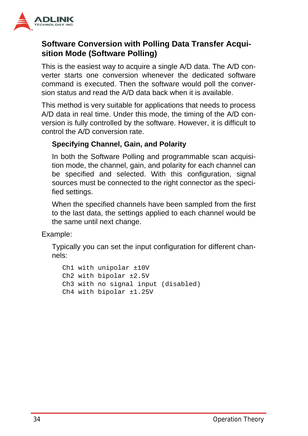

## **Software Conversion with Polling Data Transfer Acquisition Mode (Software Polling)**

This is the easiest way to acquire a single A/D data. The A/D converter starts one conversion whenever the dedicated software command is executed. Then the software would poll the conversion status and read the A/D data back when it is available.

This method is very suitable for applications that needs to process A/D data in real time. Under this mode, the timing of the A/D conversion is fully controlled by the software. However, it is difficult to control the A/D conversion rate.

### **Specifying Channel, Gain, and Polarity**

In both the Software Polling and programmable scan acquisition mode, the channel, gain, and polarity for each channel can be specified and selected. With this configuration, signal sources must be connected to the right connector as the specified settings.

When the specified channels have been sampled from the first to the last data, the settings applied to each channel would be the same until next change.

Example:

Typically you can set the input configuration for different channels:

```
Ch1 with unipolar ±10V
Ch2 with bipolar ±2.5V
Ch3 with no signal input (disabled)
Ch4 with bipolar ±1.25V
```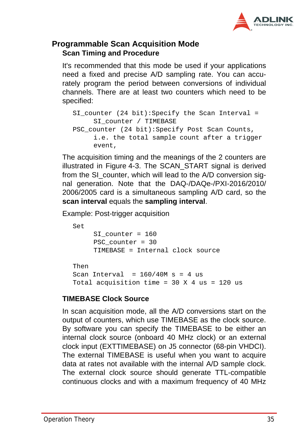

### **Programmable Scan Acquisition Mode Scan Timing and Procedure**

It's recommended that this mode be used if your applications need a fixed and precise A/D sampling rate. You can accurately program the period between conversions of individual channels. There are at least two counters which need to be specified:

```
SI counter (24 bit): Specify the Scan Interval =
     SI_counter / TIMEBASE 
PSC counter (24 bit): Specify Post Scan Counts,
     i.e. the total sample count after a trigger 
     event,
```
The acquisition timing and the meanings of the 2 counters are illustrated in [Figure 4-3.](#page-47-0) The SCAN\_START signal is derived from the SI counter, which will lead to the A/D conversion signal generation. Note that the DAQ-/DAQe-/PXI-2016/2010/ 2006/2005 card is a simultaneous sampling A/D card, so the **scan interval** equals the **sampling interval**.

Example: Post-trigger acquisition

```
Set 
     SI counter = 160
     PSC_counter = 30
     TIMEBASE = Internal clock source
Then
Scan Interval = 160/40M s = 4 us
Total acquisition time = 30 X 4 us = 120 us
```
## **TIMEBASE Clock Source**

In scan acquisition mode, all the A/D conversions start on the output of counters, which use TIMEBASE as the clock source. By software you can specify the TIMEBASE to be either an internal clock source (onboard 40 MHz clock) or an external clock input (EXTTIMEBASE) on J5 connector (68-pin VHDCI). The external TIMEBASE is useful when you want to acquire data at rates not available with the internal A/D sample clock. The external clock source should generate TTL-compatible continuous clocks and with a maximum frequency of 40 MHz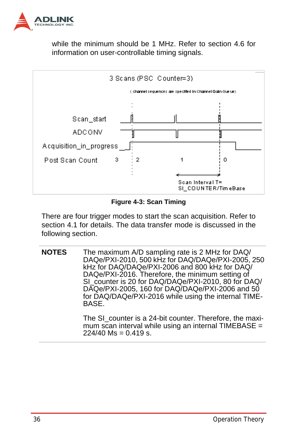

while the minimum should be 1 MHz. Refer to [section 4.6](#page-79-0) for information on user-controllable timing signals.



**Figure 4-3: Scan Timing**

<span id="page-47-0"></span>There are four trigger modes to start the scan acquisition. Refer to [section 4.1](#page-40-0) for details. The data transfer mode is discussed in the following section.

**NOTES** The maximum A/D sampling rate is 2 MHz for DAQ/ DAQe/PXI-2010, 500 kHz for DAQ/DAQe/PXI-2005, 250 kHz for DAQ/DAQe/PXI-2006 and 800 kHz for DAQ/ DAQe/PXI-2016. Therefore, the minimum setting of SI\_counter is 20 for DAQ/DAQe/PXI-2010, 80 for DAQ/ DAQe/PXI-2005, 160 for DAQ/DAQe/PXI-2006 and 50 for DAQ/DAQe/PXI-2016 while using the internal TIME-BASE.

> The SI counter is a 24-bit counter. Therefore, the maximum scan interval while using an internal  $TIMEBASE =$  $224/40$  Ms = 0.419 s.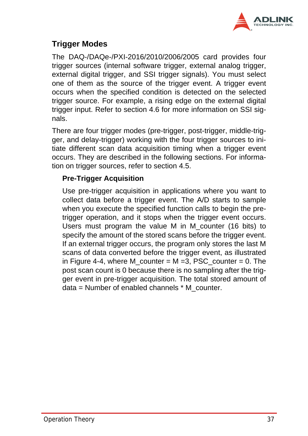

# **Trigger Modes**

The DAQ-/DAQe-/PXI-2016/2010/2006/2005 card provides four trigger sources (internal software trigger, external analog trigger, external digital trigger, and SSI trigger signals). You must select one of them as the source of the trigger event. A trigger event occurs when the specified condition is detected on the selected trigger source. For example, a rising edge on the external digital trigger input. Refer to [section 4.6](#page-79-0) for more information on SSI signals.

There are four trigger modes (pre-trigger, post-trigger, middle-trigger, and delay-trigger) working with the four trigger sources to initiate different scan data acquisition timing when a trigger event occurs. They are described in the following sections. For information on trigger sources, refer to [section 4.5](#page-74-0).

#### **Pre-Trigger Acquisition**

Use pre-trigger acquisition in applications where you want to collect data before a trigger event. The A/D starts to sample when you execute the specified function calls to begin the pretrigger operation, and it stops when the trigger event occurs. Users must program the value M in M\_counter (16 bits) to specify the amount of the stored scans before the trigger event. If an external trigger occurs, the program only stores the last M scans of data converted before the trigger event, as illustrated in Figure 4-4, where  $M_{\text{1}}$  counter =  $M$  =3, PSC\_counter = 0. The post scan count is 0 because there is no sampling after the trigger event in pre-trigger acquisition. The total stored amount of data = Number of enabled channels \* M\_counter.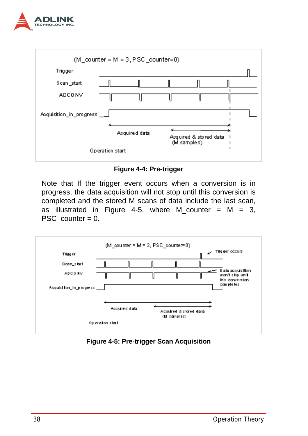



**Figure 4-4: Pre-trigger**

Note that If the trigger event occurs when a conversion is in progress, the data acquisition will not stop until this conversion is completed and the stored M scans of data include the last scan, as illustrated in Figure 4-5, where M counter =  $M = 3$ , PSC  $counter = 0$ .



**Figure 4-5: Pre-trigger Scan Acquisition**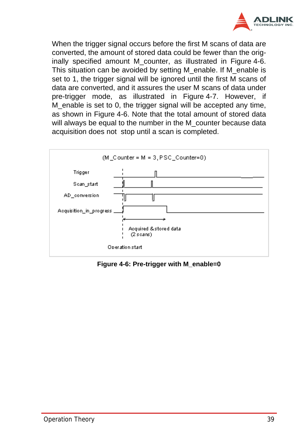

When the trigger signal occurs before the first M scans of data are converted, the amount of stored data could be fewer than the orig-inally specified amount M counter, as illustrated in [Figure 4-6](#page-50-0). This situation can be avoided by setting M\_enable. If M\_enable is set to 1, the trigger signal will be ignored until the first M scans of data are converted, and it assures the user M scans of data under pre-trigger mode, as illustrated in [Figure 4-7](#page-51-0). However, if M enable is set to 0, the trigger signal will be accepted any time, as shown in [Figure 4-6.](#page-50-0) Note that the total amount of stored data will always be equal to the number in the M counter because data acquisition does not stop until a scan is completed.



<span id="page-50-0"></span>**Figure 4-6: Pre-trigger with M\_enable=0**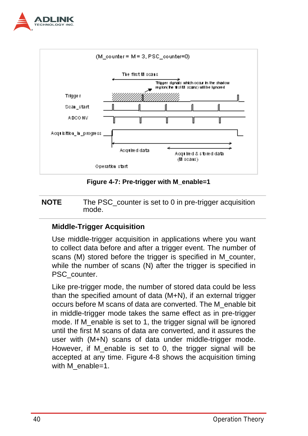



**Figure 4-7: Pre-trigger with M\_enable=1**

<span id="page-51-0"></span>**NOTE** The PSC counter is set to 0 in pre-trigger acquisition mode.

#### **Middle-Trigger Acquisition**

Use middle-trigger acquisition in applications where you want to collect data before and after a trigger event. The number of scans (M) stored before the trigger is specified in M\_counter, while the number of scans (N) after the trigger is specified in PSC\_counter.

Like pre-trigger mode, the number of stored data could be less than the specified amount of data  $(M+N)$ , if an external trigger occurs before M scans of data are converted. The M\_enable bit in middle-trigger mode takes the same effect as in pre-trigger mode. If M enable is set to 1, the trigger signal will be ignored until the first M scans of data are converted, and it assures the user with (M+N) scans of data under middle-trigger mode. However, if M enable is set to 0, the trigger signal will be accepted at any time. [Figure 4-8](#page-52-0) shows the acquisition timing with M\_enable=1.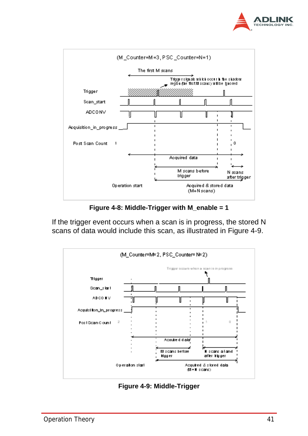



**Figure 4-8: Middle-Trigger with M\_enable = 1**

<span id="page-52-0"></span>If the trigger event occurs when a scan is in progress, the stored N scans of data would include this scan, as illustrated in [Figure 4-9](#page-52-1).



<span id="page-52-1"></span>**Figure 4-9: Middle-Trigger**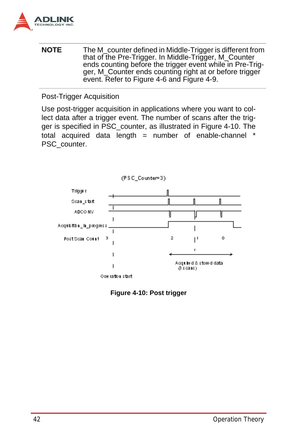

**NOTE** The M\_counter defined in Middle-Trigger is different from that of the Pre-Trigger. In Middle-Trigger, M\_Counter ends counting before the trigger event while in Pre-Trigger, M\_Counter ends counting right at or before trigger event. Refer to [Figure 4-6](#page-50-0) and [Figure 4-9.](#page-52-1)

#### Post-Trigger Acquisition

Use post-trigger acquisition in applications where you want to collect data after a trigger event. The number of scans after the trigger is specified in PSC\_counter, as illustrated in [Figure 4-10.](#page-53-0) The total acquired data length  $=$  number of enable-channel  $*$ PSC\_counter.



<span id="page-53-0"></span>**Figure 4-10: Post trigger**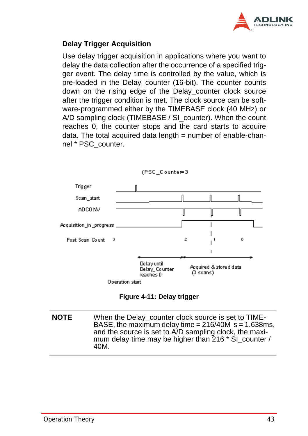

#### **Delay Trigger Acquisition**

Use delay trigger acquisition in applications where you want to delay the data collection after the occurrence of a specified trigger event. The delay time is controlled by the value, which is pre-loaded in the Delay counter (16-bit). The counter counts down on the rising edge of the Delay\_counter clock source after the trigger condition is met. The clock source can be software-programmed either by the TIMEBASE clock (40 MHz) or A/D sampling clock (TIMEBASE / SI\_counter). When the count reaches 0, the counter stops and the card starts to acquire data. The total acquired data length  $=$  number of enable-channel \* PSC\_counter.



**Figure 4-11: Delay trigger**

**NOTE** When the Delay\_counter clock source is set to TIME-BASE, the maximum delay time  $= 216/40M$  s  $= 1.638ms$ . and the source is set to A/D sampling clock, the maximum delay time may be higher than 216 \* SI counter / 40M.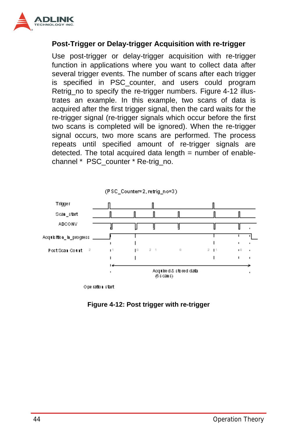

#### **Post-Trigger or Delay-trigger Acquisition with re-trigger**

Use post-trigger or delay-trigger acquisition with re-trigger function in applications where you want to collect data after several trigger events. The number of scans after each trigger is specified in PSC counter, and users could program Retrig no to specify the re-trigger numbers. [Figure 4-12](#page-55-0) illustrates an example. In this example, two scans of data is acquired after the first trigger signal, then the card waits for the re-trigger signal (re-trigger signals which occur before the first two scans is completed will be ignored). When the re-trigger signal occurs, two more scans are performed. The process repeats until specified amount of re-trigger signals are detected. The total acquired data length  $=$  number of enablechannel \* PSC\_counter \* Re-trig\_no.



#### <span id="page-55-0"></span>**Figure 4-12: Post trigger with re-trigger**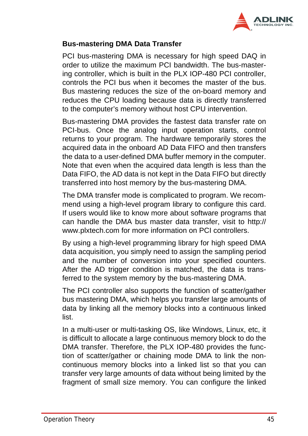

#### **Bus-mastering DMA Data Transfer**

PCI bus-mastering DMA is necessary for high speed DAQ in order to utilize the maximum PCI bandwidth. The bus-mastering controller, which is built in the PLX IOP-480 PCI controller, controls the PCI bus when it becomes the master of the bus. Bus mastering reduces the size of the on-board memory and reduces the CPU loading because data is directly transferred to the computer's memory without host CPU intervention.

Bus-mastering DMA provides the fastest data transfer rate on PCI-bus. Once the analog input operation starts, control returns to your program. The hardware temporarily stores the acquired data in the onboard AD Data FIFO and then transfers the data to a user-defined DMA buffer memory in the computer. Note that even when the acquired data length is less than the Data FIFO, the AD data is not kept in the Data FIFO but directly transferred into host memory by the bus-mastering DMA.

The DMA transfer mode is complicated to program. We recom[mend using a high-level program library to configure this card.](http://www.plxtech.com) If users would like to know more about software programs that can handle the DMA bus master data transfer, visit to http:// www.plxtech.com for more information on PCI controllers.

By using a high-level programming library for high speed DMA data acquisition, you simply need to assign the sampling period and the number of conversion into your specified counters. After the AD trigger condition is matched, the data is transferred to the system memory by the bus-mastering DMA.

The PCI controller also supports the function of scatter/gather bus mastering DMA, which helps you transfer large amounts of data by linking all the memory blocks into a continuous linked list.

In a multi-user or multi-tasking OS, like Windows, Linux, etc, it is difficult to allocate a large continuous memory block to do the DMA transfer. Therefore, the PLX IOP-480 provides the function of scatter/gather or chaining mode DMA to link the noncontinuous memory blocks into a linked list so that you can transfer very large amounts of data without being limited by the fragment of small size memory. You can configure the linked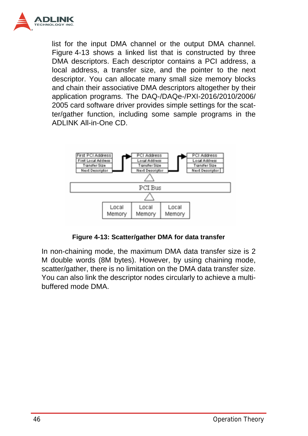

list for the input DMA channel or the output DMA channel. [Figure 4-13](#page-57-0) shows a linked list that is constructed by three DMA descriptors. Each descriptor contains a PCI address, a local address, a transfer size, and the pointer to the next descriptor. You can allocate many small size memory blocks and chain their associative DMA descriptors altogether by their application programs. The DAQ-/DAQe-/PXI-2016/2010/2006/ 2005 card software driver provides simple settings for the scatter/gather function, including some sample programs in the ADLINK All-in-One CD.



**Figure 4-13: Scatter/gather DMA for data transfer**

<span id="page-57-0"></span>In non-chaining mode, the maximum DMA data transfer size is 2 M double words (8M bytes). However, by using chaining mode, scatter/gather, there is no limitation on the DMA data transfer size. You can also link the descriptor nodes circularly to achieve a multibuffered mode DMA.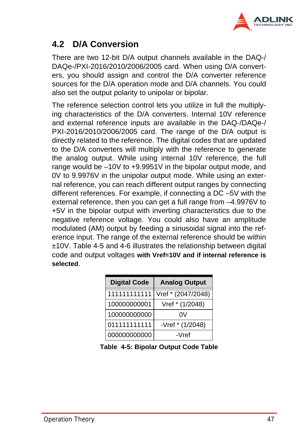

# **4.2 D/A Conversion**

There are two 12-bit D/A output channels available in the DAQ-/ DAQe-/PXI-2016/2010/2006/2005 card. When using D/A converters, you should assign and control the D/A converter reference sources for the D/A operation mode and D/A channels. You could also set the output polarity to unipolar or bipolar.

The reference selection control lets you utilize in full the multiplying characteristics of the D/A converters. Internal 10V reference and external reference inputs are available in the DAQ-/DAQe-/ PXI-2016/2010/2006/2005 card. The range of the D/A output is directly related to the reference. The digital codes that are updated to the D/A converters will multiply with the reference to generate the analog output. While using internal 10V reference, the full range would be –10V to +9.9951V in the bipolar output mode, and 0V to 9.9976V in the unipolar output mode. While using an external reference, you can reach different output ranges by connecting different references. For example, if connecting a DC –5V with the external reference, then you can get a full range from –4.9976V to +5V in the bipolar output with inverting characteristics due to the negative reference voltage. You could also have an amplitude modulated (AM) output by feeding a sinusoidal signal into the reference input. The range of the external reference should be within ±10V. Table 4-5 and 4-6 illustrates the relationship between digital code and output voltages **with Vref=10V and if internal reference is selected**.

| <b>Digital Code</b> | <b>Analog Output</b> |
|---------------------|----------------------|
| 111111111111        | Vref * (2047/2048)   |
| 100000000001        | Vref * (1/2048)      |
| 100000000000        | 0V                   |
| 011111111111        | -Vref * (1/2048)     |
| 00000000000         | -Vref                |

**Table 4-5: Bipolar Output Code Table**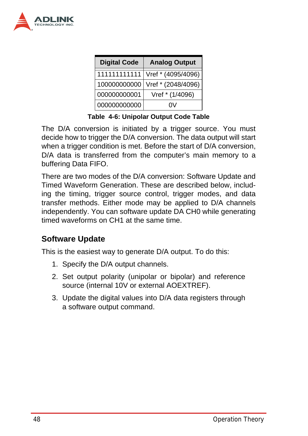

| <b>Digital Code</b> | <b>Analog Output</b> |
|---------------------|----------------------|
| 111111111111        | Vref * (4095/4096)   |
| 100000000000        | Vref * (2048/4096)   |
| 000000000001        | Vref * (1/4096)      |
| 000000000000        | nv                   |

**Table 4-6: Unipolar Output Code Table**

The D/A conversion is initiated by a trigger source. You must decide how to trigger the D/A conversion. The data output will start when a trigger condition is met. Before the start of D/A conversion, D/A data is transferred from the computer's main memory to a buffering Data FIFO.

There are two modes of the D/A conversion: Software Update and Timed Waveform Generation. These are described below, including the timing, trigger source control, trigger modes, and data transfer methods. Either mode may be applied to D/A channels independently. You can software update DA CH0 while generating timed waveforms on CH1 at the same time.

# **Software Update**

This is the easiest way to generate D/A output. To do this:

- 1. Specify the D/A output channels.
- 2. Set output polarity (unipolar or bipolar) and reference source (internal 10V or external AOEXTREF).
- 3. Update the digital values into D/A data registers through a software output command.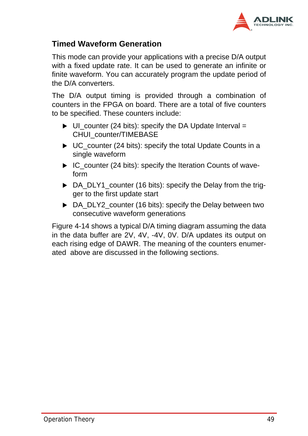

# **Timed Waveform Generation**

This mode can provide your applications with a precise D/A output with a fixed update rate. It can be used to generate an infinite or finite waveform. You can accurately program the update period of the D/A converters.

The D/A output timing is provided through a combination of counters in the FPGA on board. There are a total of five counters to be specified. These counters include:

- $\triangleright$  UI counter (24 bits): specify the DA Update Interval = CHUI\_counter/TIMEBASE
- $\triangleright$  UC\_counter (24 bits): specify the total Update Counts in a single waveform
- $\triangleright$  IC counter (24 bits): specify the Iteration Counts of waveform
- ▶ DA\_DLY1\_counter (16 bits): specify the Delay from the trigger to the first update start
- ▶ DA\_DLY2\_counter (16 bits): specify the Delay between two consecutive waveform generations

[Figure 4-14](#page-61-0) shows a typical D/A timing diagram assuming the data in the data buffer are 2V, 4V, -4V, 0V. D/A updates its output on each rising edge of DAWR. The meaning of the counters enumerated above are discussed in the following sections.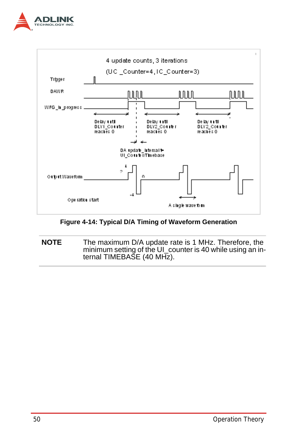



**Figure 4-14: Typical D/A Timing of Waveform Generation**

<span id="page-61-0"></span>**NOTE** The maximum D/A update rate is 1 MHz. Therefore, the minimum setting of the UI\_counter is 40 while using an internal TIMEBASE (40 MHz).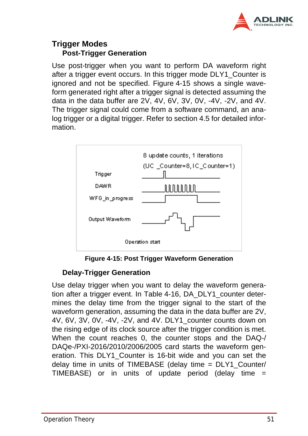

# **Trigger Modes Post-Trigger Generation**

Use post-trigger when you want to perform DA waveform right after a trigger event occurs. In this trigger mode DLY1\_Counter is ignored and not be specified. [Figure 4-15](#page-62-0) shows a single waveform generated right after a trigger signal is detected assuming the data in the data buffer are 2V, 4V, 6V, 3V, 0V, -4V, -2V, and 4V. The trigger signal could come from a software command, an analog trigger or a digital trigger. Refer to [section 4.5](#page-74-0) for detailed information.



**Figure 4-15: Post Trigger Waveform Generation**

## <span id="page-62-0"></span>**Delay-Trigger Generation**

Use delay trigger when you want to delay the waveform generation after a trigger event. In [Table 4-16](#page-63-0), DA\_DLY1\_counter determines the delay time from the trigger signal to the start of the waveform generation, assuming the data in the data buffer are 2V, 4V, 6V, 3V, 0V, -4V, -2V, and 4V. DLY1\_counter counts down on the rising edge of its clock source after the trigger condition is met. When the count reaches 0, the counter stops and the DAQ-/ DAQe-/PXI-2016/2010/2006/2005 card starts the waveform generation. This DLY1\_Counter is 16-bit wide and you can set the delay time in units of TIMEBASE (delay time = DLY1\_Counter/ TIMEBASE) or in units of update period (delay time  $=$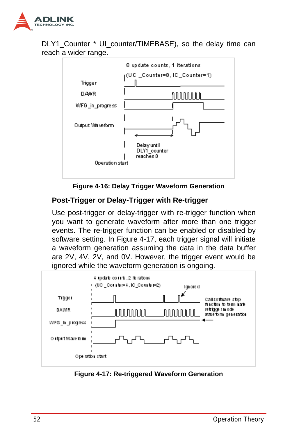

DLY1 Counter \* UI counter/TIMEBASE), so the delay time can reach a wider range.



**Figure 4-16: Delay Trigger Waveform Generation**

### <span id="page-63-0"></span>**Post-Trigger or Delay-Trigger with Re-trigger**

Use post-trigger or delay-trigger with re-trigger function when you want to generate waveform after more than one trigger events. The re-trigger function can be enabled or disabled by software setting. In [Figure 4-17](#page-63-1), each trigger signal will initiate a waveform generation assuming the data in the data buffer are 2V, 4V, 2V, and 0V. However, the trigger event would be ignored while the waveform generation is ongoing.



<span id="page-63-1"></span>**Figure 4-17: Re-triggered Waveform Generation**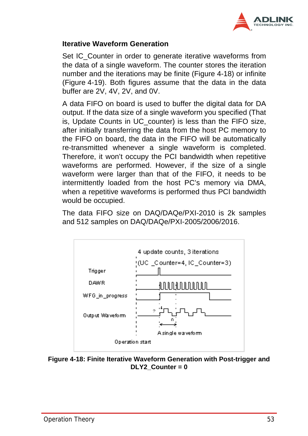

#### **Iterative Waveform Generation**

Set IC Counter in order to generate iterative waveforms from the data of a single waveform. The counter stores the iteration number and the iterations may be finite ([Figure 4-18\)](#page-64-0) or infinite [\(Figure 4-19](#page-65-0)). Both figures assume that the data in the data buffer are 2V, 4V, 2V, and 0V.

A data FIFO on board is used to buffer the digital data for DA output. If the data size of a single waveform you specified (That is, Update Counts in UC\_counter) is less than the FIFO size, after initially transferring the data from the host PC memory to the FIFO on board, the data in the FIFO will be automatically re-transmitted whenever a single waveform is completed. Therefore, it won't occupy the PCI bandwidth when repetitive waveforms are performed. However, if the size of a single waveform were larger than that of the FIFO, it needs to be intermittently loaded from the host PC's memory via DMA, when a repetitive waveforms is performed thus PCI bandwidth would be occupied.

The data FIFO size on DAQ/DAQe/PXI-2010 is 2k samples and 512 samples on DAQ/DAQe/PXI-2005/2006/2016.



<span id="page-64-0"></span>**Figure 4-18: Finite Iterative Waveform Generation with Post-trigger and DLY2\_Counter = 0**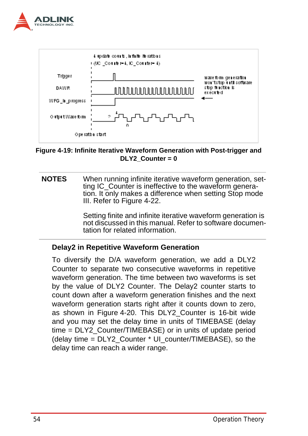



#### <span id="page-65-0"></span>**Figure 4-19: Infinite Iterative Waveform Generation with Post-trigger and DLY2\_Counter = 0**

**NOTES** When running infinite iterative waveform generation, setting IC\_Counter is ineffective to the waveform generation. It only makes a difference when setting Stop mode III. Refer to [Figure 4-22.](#page-67-0)

> Setting finite and infinite iterative waveform generation is not discussed in this manual. Refer to software documentation for related information.

#### **Delay2 in Repetitive Waveform Generation**

To diversify the D/A waveform generation, we add a DLY2 Counter to separate two consecutive waveforms in repetitive waveform generation. The time between two waveforms is set by the value of DLY2 Counter. The Delay2 counter starts to count down after a waveform generation finishes and the next waveform generation starts right after it counts down to zero, as shown in [Figure 4-20.](#page-66-0) This DLY2\_Counter is 16-bit wide and you may set the delay time in units of TIMEBASE (delay time = DLY2\_Counter/TIMEBASE) or in units of update period (delay time = DLY2\_Counter \* UI\_counter/TIMEBASE), so the delay time can reach a wider range.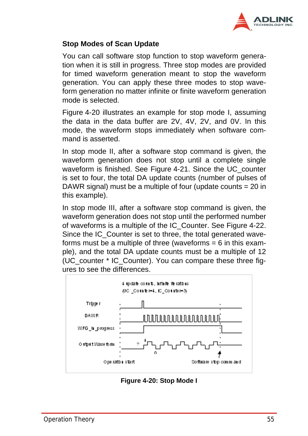

#### **Stop Modes of Scan Update**

You can call software stop function to stop waveform generation when it is still in progress. Three stop modes are provided for timed waveform generation meant to stop the waveform generation. You can apply these three modes to stop waveform generation no matter infinite or finite waveform generation mode is selected.

[Figure 4-20](#page-66-0) illustrates an example for stop mode I, assuming the data in the data buffer are 2V, 4V, 2V, and 0V. In this mode, the waveform stops immediately when software command is asserted.

In stop mode II, after a software stop command is given, the waveform generation does not stop until a complete single waveform is finished. See [Figure 4-21.](#page-67-1) Since the UC\_counter is set to four, the total DA update counts (number of pulses of DAWR signal) must be a multiple of four (update counts = 20 in this example).

In stop mode III, after a software stop command is given, the waveform generation does not stop until the performed number of waveforms is a multiple of the IC\_Counter. See [Figure 4-22](#page-67-0). Since the IC\_Counter is set to three, the total generated waveforms must be a multiple of three (waveforms  $= 6$  in this example), and the total DA update counts must be a multiple of 12 (UC\_counter \* IC\_Counter). You can compare these three figures to see the differences.



<span id="page-66-0"></span>**Figure 4-20: Stop Mode I**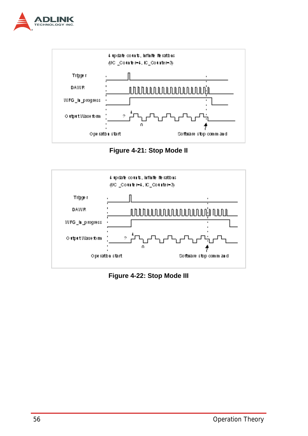



**Figure 4-21: Stop Mode II**

<span id="page-67-1"></span>

<span id="page-67-0"></span>**Figure 4-22: Stop Mode III**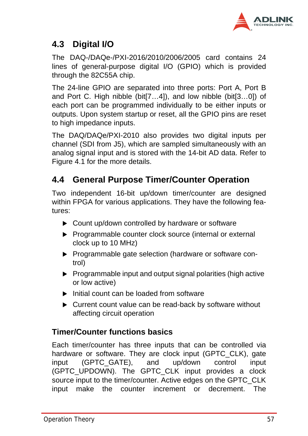

# **4.3 Digital I/O**

The DAQ-/DAQe-/PXI-2016/2010/2006/2005 card contains 24 lines of general-purpose digital I/O (GPIO) which is provided through the 82C55A chip.

The 24-line GPIO are separated into three ports: Port A, Port B and Port C. High nibble (bit[7…4]), and low nibble (bit[3…0]) of each port can be programmed individually to be either inputs or outputs. Upon system startup or reset, all the GPIO pins are reset to high impedance inputs.

The DAQ/DAQe/PXI-2010 also provides two digital inputs per channel (SDI from J5), which are sampled simultaneously with an analog signal input and is stored with the 14-bit AD data. Refer to [Figure 4.1](#page-40-0) for the more details.

# **4.4 General Purpose Timer/Counter Operation**

Two independent 16-bit up/down timer/counter are designed within FPGA for various applications. They have the following features:

- $\triangleright$  Count up/down controlled by hardware or software
- $\triangleright$  Programmable counter clock source (internal or external clock up to 10 MHz)
- **Programmable gate selection (hardware or software con**trol)
- $\triangleright$  Programmable input and output signal polarities (high active or low active)
- $\blacktriangleright$  Initial count can be loaded from software
- $\triangleright$  Current count value can be read-back by software without affecting circuit operation

# **Timer/Counter functions basics**

Each timer/counter has three inputs that can be controlled via hardware or software. They are clock input (GPTC\_CLK), gate input (GPTC\_GATE), and up/down control input (GPTC UPDOWN). The GPTC CLK input provides a clock source input to the timer/counter. Active edges on the GPTC\_CLK input make the counter increment or decrement. The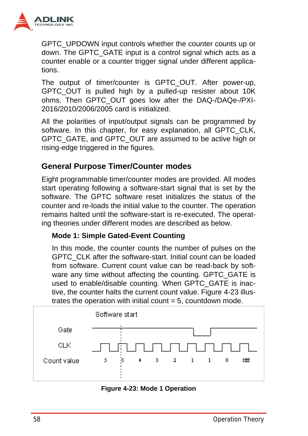

GPTC\_UPDOWN input controls whether the counter counts up or down. The GPTC GATE input is a control signal which acts as a counter enable or a counter trigger signal under different applications.

The output of timer/counter is GPTC OUT. After power-up, GPTC\_OUT is pulled high by a pulled-up resister about 10K ohms. Then GPTC\_OUT goes low after the DAQ-/DAQe-/PXI-2016/2010/2006/2005 card is initialized.

All the polarities of input/output signals can be programmed by software. In this chapter, for easy explanation, all GPTC\_CLK, GPTC\_GATE, and GPTC\_OUT are assumed to be active high or rising-edge triggered in the figures.

# **General Purpose Timer/Counter modes**

Eight programmable timer/counter modes are provided. All modes start operating following a software-start signal that is set by the software. The GPTC software reset initializes the status of the counter and re-loads the initial value to the counter. The operation remains halted until the software-start is re-executed. The operating theories under different modes are described as below.

#### **Mode 1: Simple Gated-Event Counting**

In this mode, the counter counts the number of pulses on the GPTC CLK after the software-start. Initial count can be loaded from software. Current count value can be read-back by software any time without affecting the counting. GPTC\_GATE is used to enable/disable counting. When GPTC\_GATE is inactive, the counter halts the current count value. [Figure 4-23](#page-69-0) illustrates the operation with initial count  $= 5$ , countdown mode.



<span id="page-69-0"></span>**Figure 4-23: Mode 1 Operation**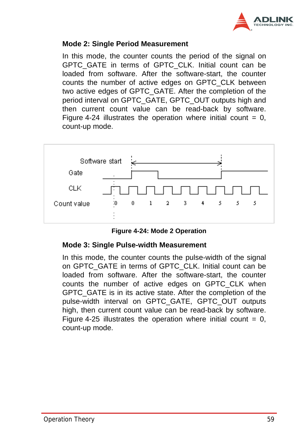

#### **Mode 2: Single Period Measurement**

In this mode, the counter counts the period of the signal on GPTC GATE in terms of GPTC CLK. Initial count can be loaded from software. After the software-start, the counter counts the number of active edges on GPTC\_CLK between two active edges of GPTC\_GATE. After the completion of the period interval on GPTC\_GATE, GPTC\_OUT outputs high and then current count value can be read-back by software. [Figure 4-24](#page-70-0) illustrates the operation where initial count  $= 0$ . count-up mode.



**Figure 4-24: Mode 2 Operation**

#### <span id="page-70-0"></span>**Mode 3: Single Pulse-width Measurement**

In this mode, the counter counts the pulse-width of the signal on GPTC\_GATE in terms of GPTC\_CLK. Initial count can be loaded from software. After the software-start, the counter counts the number of active edges on GPTC\_CLK when GPTC\_GATE is in its active state. After the completion of the pulse-width interval on GPTC\_GATE, GPTC\_OUT outputs high, then current count value can be read-back by software. [Figure 4-25](#page-71-0) illustrates the operation where initial count  $= 0$ , count-up mode.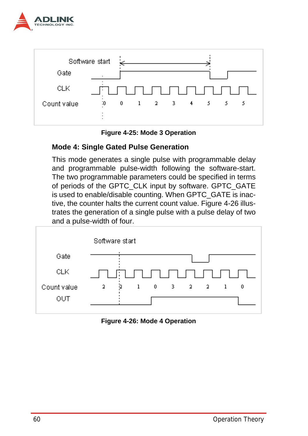



#### **Figure 4-25: Mode 3 Operation**

#### <span id="page-71-0"></span>**Mode 4: Single Gated Pulse Generation**

This mode generates a single pulse with programmable delay and programmable pulse-width following the software-start. The two programmable parameters could be specified in terms of periods of the GPTC\_CLK input by software. GPTC\_GATE is used to enable/disable counting. When GPTC\_GATE is inactive, the counter halts the current count value. [Figure 4-26](#page-71-1) illustrates the generation of a single pulse with a pulse delay of two and a pulse-width of four.



<span id="page-71-1"></span>**Figure 4-26: Mode 4 Operation**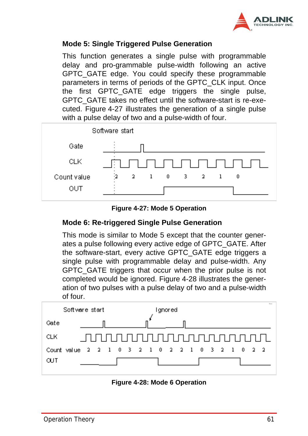

#### **Mode 5: Single Triggered Pulse Generation**

This function generates a single pulse with programmable delay and pro-grammable pulse-width following an active GPTC GATE edge. You could specify these programmable parameters in terms of periods of the GPTC CLK input. Once the first GPTC\_GATE edge triggers the single pulse, GPTC\_GATE takes no effect until the software-start is re-executed. [Figure 4-27](#page-72-0) illustrates the generation of a single pulse with a pulse delay of two and a pulse-width of four.



#### **Figure 4-27: Mode 5 Operation**

#### <span id="page-72-0"></span>**Mode 6: Re-triggered Single Pulse Generation**

This mode is similar to Mode 5 except that the counter generates a pulse following every active edge of GPTC\_GATE. After the software-start, every active GPTC\_GATE edge triggers a single pulse with programmable delay and pulse-width. Any GPTC GATE triggers that occur when the prior pulse is not completed would be ignored. [Figure 4-28](#page-72-1) illustrates the generation of two pulses with a pulse delay of two and a pulse-width of four.



<span id="page-72-1"></span>**Figure 4-28: Mode 6 Operation**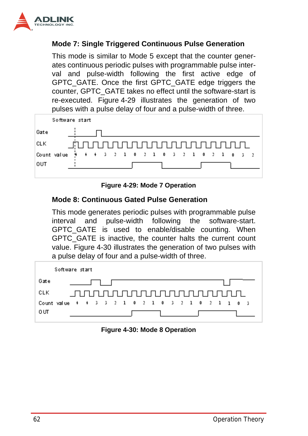

#### **Mode 7: Single Triggered Continuous Pulse Generation**

This mode is similar to Mode 5 except that the counter generates continuous periodic pulses with programmable pulse interval and pulse-width following the first active edge of GPTC\_GATE. Once the first GPTC\_GATE edge triggers the counter, GPTC\_GATE takes no effect until the software-start is re-executed. [Figure 4-29](#page-73-0) illustrates the generation of two pulses with a pulse delay of four and a pulse-width of three.



#### **Figure 4-29: Mode 7 Operation**

#### <span id="page-73-0"></span>**Mode 8: Continuous Gated Pulse Generation**

This mode generates periodic pulses with programmable pulse interval and pulse-width following the software-start. GPTC GATE is used to enable/disable counting. When GPTC GATE is inactive, the counter halts the current count value. [Figure 4-30](#page-73-1) illustrates the generation of two pulses with a pulse delay of four and a pulse-width of three.

<span id="page-73-1"></span>

#### **Figure 4-30: Mode 8 Operation**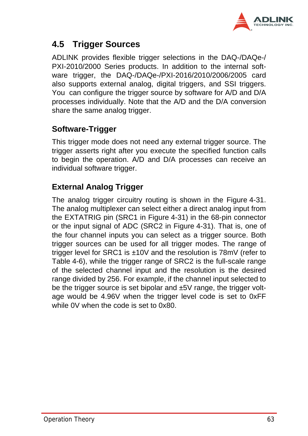

# <span id="page-74-0"></span>**4.5 Trigger Sources**

ADLINK provides flexible trigger selections in the DAQ-/DAQe-/ PXI-2010/2000 Series products. In addition to the internal software trigger, the DAQ-/DAQe-/PXI-2016/2010/2006/2005 card also supports external analog, digital triggers, and SSI triggers. You can configure the trigger source by software for A/D and D/A processes individually. Note that the A/D and the D/A conversion share the same analog trigger.

## **Software-Trigger**

This trigger mode does not need any external trigger source. The trigger asserts right after you execute the specified function calls to begin the operation. A/D and D/A processes can receive an individual software trigger.

## **External Analog Trigger**

The analog trigger circuitry routing is shown in the [Figure 4-31](#page-75-0). The analog multiplexer can select either a direct analog input from the EXTATRIG pin (SRC1 in [Figure 4-31](#page-75-0)) in the 68-pin connector or the input signal of ADC (SRC2 in [Figure 4-31\)](#page-75-0). That is, one of the four channel inputs you can select as a trigger source. Both trigger sources can be used for all trigger modes. The range of trigger level for SRC1 is  $\pm$ 10V and the resolution is 78mV (refer to [Table 4-6](#page-59-0)), while the trigger range of SRC2 is the full-scale range of the selected channel input and the resolution is the desired range divided by 256. For example, if the channel input selected to be the trigger source is set bipolar and  $±5V$  range, the trigger voltage would be 4.96V when the trigger level code is set to 0xFF while 0V when the code is set to 0x80.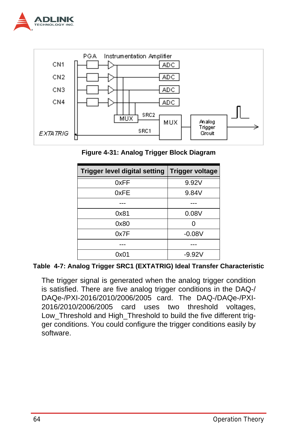



**Figure 4-31: Analog Trigger Block Diagram**

<span id="page-75-0"></span>

| Trigger level digital setting | <b>Trigger voltage</b> |
|-------------------------------|------------------------|
| 0xFF                          | 9.92V                  |
| 0xFE                          | 9.84V                  |
|                               |                        |
| 0x81                          | 0.08V                  |
| 0x80                          |                        |
| 0x7F                          | $-0.08V$               |
|                               |                        |
| 0x01                          | $-9.92V$               |

**Table 4-7: Analog Trigger SRC1 (EXTATRIG) Ideal Transfer Characteristic**

The trigger signal is generated when the analog trigger condition is satisfied. There are five analog trigger conditions in the DAQ-/ DAQe-/PXI-2016/2010/2006/2005 card. The DAQ-/DAQe-/PXI-2016/2010/2006/2005 card uses two threshold voltages, Low Threshold and High\_Threshold to build the five different trigger conditions. You could configure the trigger conditions easily by software.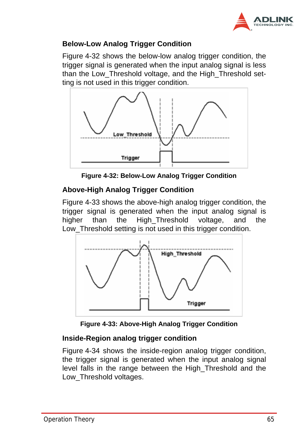

## **Below-Low Analog Trigger Condition**

[Figure 4-32](#page-76-0) shows the below-low analog trigger condition, the trigger signal is generated when the input analog signal is less than the Low\_Threshold voltage, and the High\_Threshold setting is not used in this trigger condition.



**Figure 4-32: Below-Low Analog Trigger Condition**

## <span id="page-76-0"></span>**Above-High Analog Trigger Condition**

[Figure 4-33](#page-76-1) shows the above-high analog trigger condition, the trigger signal is generated when the input analog signal is higher than the High\_Threshold voltage, and the Low Threshold setting is not used in this trigger condition.



**Figure 4-33: Above-High Analog Trigger Condition**

## <span id="page-76-1"></span>**Inside-Region analog trigger condition**

[Figure 4-34](#page-77-0) shows the inside-region analog trigger condition, the trigger signal is generated when the input analog signal level falls in the range between the High\_Threshold and the Low\_Threshold voltages.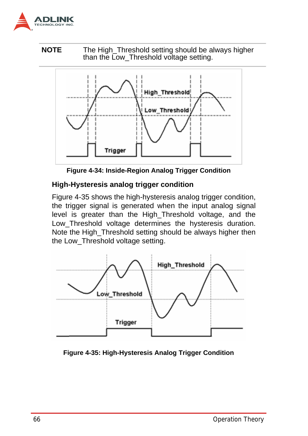

**NOTE** The High Threshold setting should be always higher than the Low Threshold voltage setting.



**Figure 4-34: Inside-Region Analog Trigger Condition**

## <span id="page-77-0"></span>**High-Hysteresis analog trigger condition**

[Figure 4-35](#page-77-1) shows the high-hysteresis analog trigger condition, the trigger signal is generated when the input analog signal level is greater than the High\_Threshold voltage, and the Low Threshold voltage determines the hysteresis duration. Note the High\_Threshold setting should be always higher then the Low\_Threshold voltage setting.



<span id="page-77-1"></span>**Figure 4-35: High-Hysteresis Analog Trigger Condition**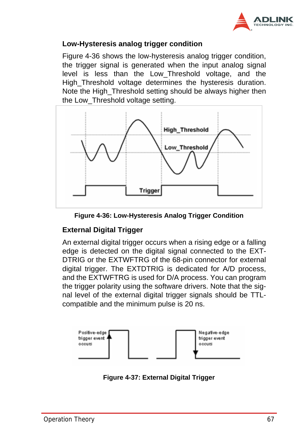

#### **Low-Hysteresis analog trigger condition**

[Figure 4-36](#page-78-0) shows the low-hysteresis analog trigger condition. the trigger signal is generated when the input analog signal level is less than the Low\_Threshold voltage, and the High Threshold voltage determines the hysteresis duration. Note the High Threshold setting should be always higher then the Low Threshold voltage setting.



**Figure 4-36: Low-Hysteresis Analog Trigger Condition**

## <span id="page-78-0"></span>**External Digital Trigger**

An external digital trigger occurs when a rising edge or a falling edge is detected on the digital signal connected to the EXT-DTRIG or the EXTWFTRG of the 68-pin connector for external digital trigger. The EXTDTRIG is dedicated for A/D process, and the EXTWFTRG is used for D/A process. You can program the trigger polarity using the software drivers. Note that the signal level of the external digital trigger signals should be TTLcompatible and the minimum pulse is 20 ns.



**Figure 4-37: External Digital Trigger**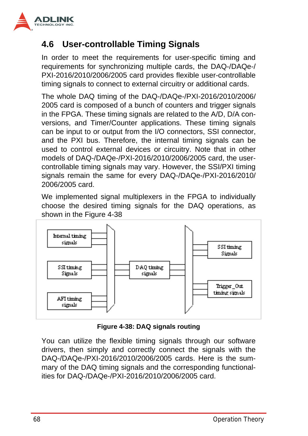

# <span id="page-79-1"></span>**4.6 User-controllable Timing Signals**

In order to meet the requirements for user-specific timing and requirements for synchronizing multiple cards, the DAQ-/DAQe-/ PXI-2016/2010/2006/2005 card provides flexible user-controllable timing signals to connect to external circuitry or additional cards.

The whole DAQ timing of the DAQ-/DAQe-/PXI-2016/2010/2006/ 2005 card is composed of a bunch of counters and trigger signals in the FPGA. These timing signals are related to the A/D, D/A conversions, and Timer/Counter applications. These timing signals can be input to or output from the I/O connectors, SSI connector, and the PXI bus. Therefore, the internal timing signals can be used to control external devices or circuitry. Note that in other models of DAQ-/DAQe-/PXI-2016/2010/2006/2005 card, the usercontrollable timing signals may vary. However, the SSI/PXI timing signals remain the same for every DAQ-/DAQe-/PXI-2016/2010/ 2006/2005 card.

We implemented signal multiplexers in the FPGA to individually choose the desired timing signals for the DAQ operations, as shown in the [Figure 4-38](#page-79-0)



**Figure 4-38: DAQ signals routing**

<span id="page-79-0"></span>You can utilize the flexible timing signals through our software drivers, then simply and correctly connect the signals with the DAQ-/DAQe-/PXI-2016/2010/2006/2005 cards. Here is the summary of the DAQ timing signals and the corresponding functionalities for DAQ-/DAQe-/PXI-2016/2010/2006/2005 card.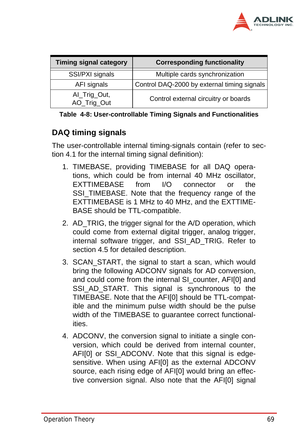

| <b>Timing signal category</b> | <b>Corresponding functionality</b>          |
|-------------------------------|---------------------------------------------|
| SSI/PXI signals               | Multiple cards synchronization              |
| AFI signals                   | Control DAQ-2000 by external timing signals |
| Al_Trig_Out,<br>AO_Trig_Out   | Control external circuitry or boards        |

**Table 4-8: User-controllable Timing Signals and Functionalities**

## **DAQ timing signals**

The user-controllable internal timing-signals contain (refer to [sec](#page-40-0)[tion 4.1](#page-40-0) for the internal timing signal definition):

- 1. TIMEBASE, providing TIMEBASE for all DAQ operations, which could be from internal 40 MHz oscillator, EXTTIMEBASE from I/O connector or the SSI TIMEBASE. Note that the frequency range of the EXTTIMEBASE is 1 MHz to 40 MHz, and the EXTTIME-BASE should be TTL-compatible.
- 2. AD TRIG, the trigger signal for the A/D operation, which could come from external digital trigger, analog trigger, internal software trigger, and SSI\_AD\_TRIG. Refer to [section 4.5](#page-74-0) for detailed description.
- 3. SCAN\_START, the signal to start a scan, which would bring the following ADCONV signals for AD conversion, and could come from the internal SI\_counter, AFI[0] and SSI AD START. This signal is synchronous to the TIMEBASE. Note that the AFI[0] should be TTL-compatible and the minimum pulse width should be the pulse width of the TIMEBASE to guarantee correct functionalities.
- 4. ADCONV, the conversion signal to initiate a single conversion, which could be derived from internal counter, AFI[0] or SSI\_ADCONV. Note that this signal is edgesensitive. When using AFI[0] as the external ADCONV source, each rising edge of AFI[0] would bring an effective conversion signal. Also note that the AFI[0] signal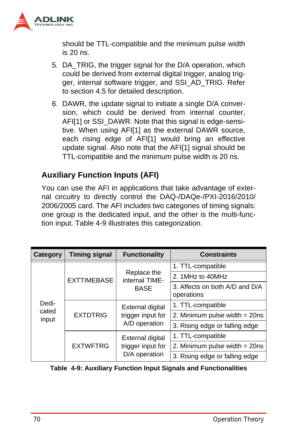

should be TTL-compatible and the minimum pulse width is 20 ns.

- 5. DA\_TRIG, the trigger signal for the D/A operation, which could be derived from external digital trigger, analog trigger, internal software trigger, and SSI\_AD\_TRIG. Refer to [section 4.5](#page-74-0) for detailed description.
- 6. DAWR, the update signal to initiate a single D/A conversion, which could be derived from internal counter, AFI[1] or SSI\_DAWR. Note that this signal is edge-sensitive. When using AFI[1] as the external DAWR source, each rising edge of AFI[1] would bring an effective update signal. Also note that the AFI[1] signal should be TTL-compatible and the minimum pulse width is 20 ns.

## **Auxiliary Function Inputs (AFI)**

You can use the AFI in applications that take advantage of external circuitry to directly control the DAQ-/DAQe-/PXI-2016/2010/ 2006/2005 card. The AFI includes two categories of timing signals: one group is the dedicated input, and the other is the multi-function input. [Table 4-9](#page-81-0) illustrates this categorization.

| Category                | Timing signal      | <b>Functionality</b>                                          | <b>Constraints</b>                           |
|-------------------------|--------------------|---------------------------------------------------------------|----------------------------------------------|
| Dedi-<br>cated<br>input | <b>EXTTIMEBASE</b> | Replace the<br>internal TIME-<br><b>BASE</b>                  | 1. TTL-compatible                            |
|                         |                    |                                                               | 2. 1 MHz to 40 MHz                           |
|                         |                    |                                                               | 3. Affects on both A/D and D/A<br>operations |
|                         | <b>EXTDTRIG</b>    | External digital<br>trigger input for<br>A/D operation        | 1. TTL-compatible                            |
|                         |                    |                                                               | 2. Minimum pulse width $= 20$ ns             |
|                         |                    |                                                               | 3. Rising edge or falling edge               |
|                         | <b>EXTWFTRG</b>    | <b>External digital</b><br>trigger input for<br>D/A operation | 1. TTL-compatible                            |
|                         |                    |                                                               | 2. Minimum pulse width = 20ns                |
|                         |                    |                                                               | 3. Rising edge or falling edge               |

<span id="page-81-0"></span>**Table 4-9: Auxiliary Function Input Signals and Functionalities**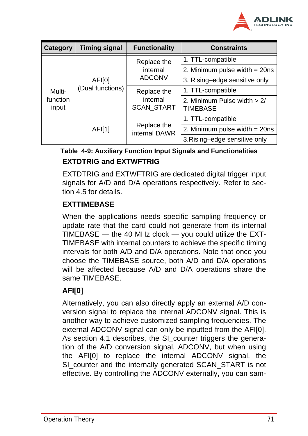

| Category | <b>Timing signal</b>                                      | <b>Functionality</b>                         | <b>Constraints</b>                              |
|----------|-----------------------------------------------------------|----------------------------------------------|-------------------------------------------------|
|          | AFI[0]<br>(Dual functions)<br>Multi-<br>function<br>input | Replace the<br>internal<br><b>ADCONV</b>     | 1. TTL-compatible                               |
|          |                                                           |                                              | 2. Minimum pulse width $=$ 20ns                 |
|          |                                                           |                                              | 3. Rising-edge sensitive only                   |
|          |                                                           | Replace the<br>internal<br><b>SCAN START</b> | 1. TTL-compatible                               |
|          |                                                           |                                              | 2. Minimum Pulse width $>2/$<br><b>TIMEBASE</b> |
|          | AFI[1]                                                    | Replace the<br>internal DAWR                 | 1. TTL-compatible                               |
|          |                                                           |                                              | 2. Minimum pulse width $=$ 20ns                 |
|          |                                                           |                                              | 3. Rising-edge sensitive only                   |

## **EXTDTRIG and EXTWFTRIG Table 4-9: Auxiliary Function Input Signals and Functionalities**

EXTDTRIG and EXTWFTRIG are dedicated digital trigger input signals for A/D and D/A operations respectively. Refer to [sec](#page-74-0)[tion 4.5](#page-74-0) for details.

## **EXTTIMEBASE**

When the applications needs specific sampling frequency or update rate that the card could not generate from its internal TIMEBASE — the 40 MHz clock — you could utilize the EXT-TIMEBASE with internal counters to achieve the specific timing intervals for both A/D and D/A operations. Note that once you choose the TIMEBASE source, both A/D and D/A operations will be affected because A/D and D/A operations share the same TIMEBASE.

## **AFI[0]**

Alternatively, you can also directly apply an external A/D conversion signal to replace the internal ADCONV signal. This is another way to achieve customized sampling frequencies. The external ADCONV signal can only be inputted from the AFI[0]. As section 4.1 describes, the SI\_counter triggers the generation of the A/D conversion signal, ADCONV, but when using the AFI[0] to replace the internal ADCONV signal, the SI\_counter and the internally generated SCAN\_START is not effective. By controlling the ADCONV externally, you can sam-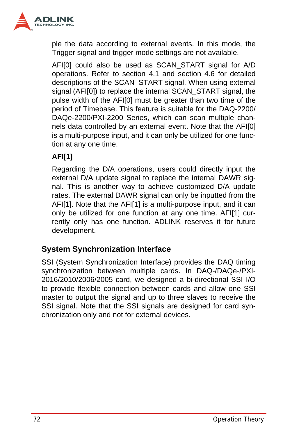

ple the data according to external events. In this mode, the Trigger signal and trigger mode settings are not available.

AFI[0] could also be used as SCAN\_START signal for A/D operations. Refer to [section 4.1](#page-40-0) and [section 4.6](#page-79-1) for detailed descriptions of the SCAN\_START signal. When using external signal (AFI[0]) to replace the internal SCAN\_START signal, the pulse width of the AFI[0] must be greater than two time of the period of Timebase. This feature is suitable for the DAQ-2200/ DAQe-2200/PXI-2200 Series, which can scan multiple channels data controlled by an external event. Note that the AFI[0] is a multi-purpose input, and it can only be utilized for one function at any one time.

## **AFI[1]**

Regarding the D/A operations, users could directly input the external D/A update signal to replace the internal DAWR signal. This is another way to achieve customized D/A update rates. The external DAWR signal can only be inputted from the AFI[1]. Note that the AFI[1] is a multi-purpose input, and it can only be utilized for one function at any one time. AFI[1] currently only has one function. ADLINK reserves it for future development.

## **System Synchronization Interface**

SSI (System Synchronization Interface) provides the DAQ timing synchronization between multiple cards. In DAQ-/DAQe-/PXI-2016/2010/2006/2005 card, we designed a bi-directional SSI I/O to provide flexible connection between cards and allow one SSI master to output the signal and up to three slaves to receive the SSI signal. Note that the SSI signals are designed for card synchronization only and not for external devices.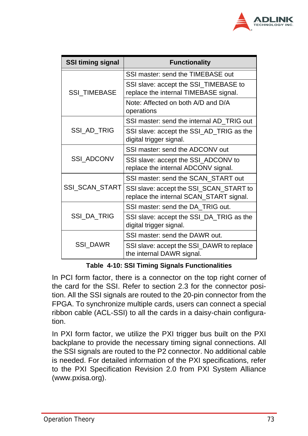

| <b>SSI timing signal</b> | <b>Functionality</b>                                                               |
|--------------------------|------------------------------------------------------------------------------------|
| <b>SSI TIMEBASE</b>      | SSI master: send the TIMEBASE out                                                  |
|                          | SSI slave: accept the SSI_TIMEBASE to<br>replace the internal TIMEBASE signal.     |
|                          | Note: Affected on both A/D and D/A<br>operations                                   |
| SSI_AD_TRIG              | SSI master: send the internal AD TRIG out                                          |
|                          | SSI slave: accept the SSI_AD_TRIG as the<br>digital trigger signal.                |
| <b>SSI ADCONV</b>        | SSI master: send the ADCONV out                                                    |
|                          | SSI slave: accept the SSI_ADCONV to<br>replace the internal ADCONV signal.         |
| <b>SSI SCAN START</b>    | SSI master: send the SCAN START out                                                |
|                          | SSI slave: accept the SSI_SCAN_START to<br>replace the internal SCAN_START signal. |
| SSI DA TRIG              | SSI master: send the DA TRIG out.                                                  |
|                          | SSI slave: accept the SSI_DA_TRIG as the<br>digital trigger signal.                |
| SSI DAWR                 | SSI master: send the DAWR out.                                                     |
|                          | SSI slave: accept the SSI_DAWR to replace<br>the internal DAWR signal.             |

#### **Table 4-10: SSI Timing Signals Functionalities**

In PCI form factor, there is a connector on the top right corner of the card for the SSI. Refer to [section 2.3](#page-28-0) for the connector position. All the SSI signals are routed to the 20-pin connector from the FPGA. To synchronize multiple cards, users can connect a special ribbon cable (ACL-SSI) to all the cards in a daisy-chain configuration.

[In PXI form factor, we utilize the PXI trigger bus built on the PXI](http://www.pxisa.org) backplane to provide the necessary timing signal connections. All [the SSI signals are routed to the P2 connector. No additional cable](http://www.pxisa.org) is needed. For detailed information of the PXI specifications, refer to the PXI Specification Revision 2.0 from PXI System Alliance [\(www.pxisa.org\).](http://www.pxisa.org)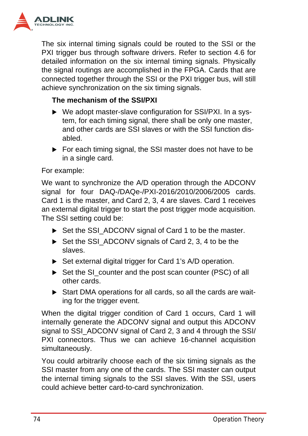

The six internal timing signals could be routed to the SSI or the PXI trigger bus through software drivers. Refer to [section 4.6](#page-79-1) for detailed information on the six internal timing signals. Physically the signal routings are accomplished in the FPGA. Cards that are connected together through the SSI or the PXI trigger bus, will still achieve synchronization on the six timing signals.

## **The mechanism of the SSI/PXI**

- $\triangleright$  We adopt master-slave configuration for SSI/PXI. In a system, for each timing signal, there shall be only one master, and other cards are SSI slaves or with the SSI function disabled.
- $\triangleright$  For each timing signal, the SSI master does not have to be in a single card.

#### For example:

We want to synchronize the A/D operation through the ADCONV signal for four DAQ-/DAQe-/PXI-2016/2010/2006/2005 cards. Card 1 is the master, and Card 2, 3, 4 are slaves. Card 1 receives an external digital trigger to start the post trigger mode acquisition. The SSI setting could be:

- $\triangleright$  Set the SSI ADCONV signal of Card 1 to be the master.
- $\triangleright$  Set the SSI ADCONV signals of Card 2, 3, 4 to be the slaves.
- $\triangleright$  Set external digital trigger for Card 1's A/D operation.
- $\triangleright$  Set the SI\_counter and the post scan counter (PSC) of all other cards.
- $\triangleright$  Start DMA operations for all cards, so all the cards are waiting for the trigger event.

When the digital trigger condition of Card 1 occurs, Card 1 will internally generate the ADCONV signal and output this ADCONV signal to SSI\_ADCONV signal of Card 2, 3 and 4 through the SSI/ PXI connectors. Thus we can achieve 16-channel acquisition simultaneously.

You could arbitrarily choose each of the six timing signals as the SSI master from any one of the cards. The SSI master can output the internal timing signals to the SSI slaves. With the SSI, users could achieve better card-to-card synchronization.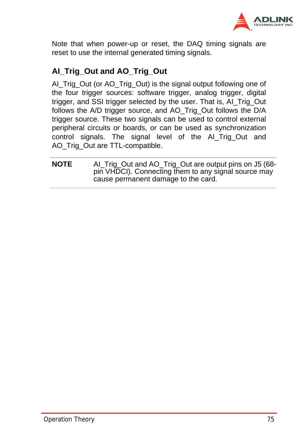

Note that when power-up or reset, the DAQ timing signals are reset to use the internal generated timing signals.

## **AI\_Trig\_Out and AO\_Trig\_Out**

AI\_Trig\_Out (or AO\_Trig\_Out) is the signal output following one of the four trigger sources: software trigger, analog trigger, digital trigger, and SSI trigger selected by the user. That is, AI\_Trig\_Out follows the A/D trigger source, and AO\_Trig\_Out follows the D/A trigger source. These two signals can be used to control external peripheral circuits or boards, or can be used as synchronization control signals. The signal level of the AI Trig Out and AO\_Trig\_Out are TTL-compatible.

**NOTE** AI\_Trig\_Out and AO\_Trig\_Out are output pins on J5 (68 pin VHDCI). Connecting them to any signal source may cause permanent damage to the card.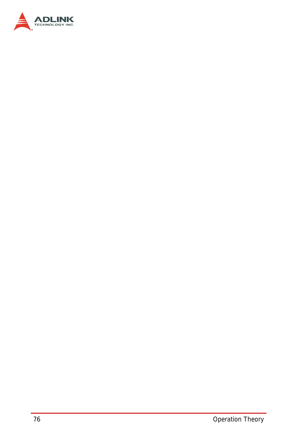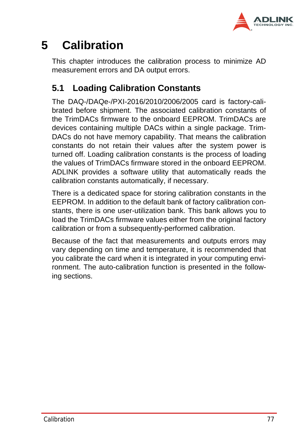

# **5 Calibration**

This chapter introduces the calibration process to minimize AD measurement errors and DA output errors.

# **5.1 Loading Calibration Constants**

The DAQ-/DAQe-/PXI-2016/2010/2006/2005 card is factory-calibrated before shipment. The associated calibration constants of the TrimDACs firmware to the onboard EEPROM. TrimDACs are devices containing multiple DACs within a single package. Trim-DACs do not have memory capability. That means the calibration constants do not retain their values after the system power is turned off. Loading calibration constants is the process of loading the values of TrimDACs firmware stored in the onboard EEPROM. ADLINK provides a software utility that automatically reads the calibration constants automatically, if necessary.

There is a dedicated space for storing calibration constants in the EEPROM. In addition to the default bank of factory calibration constants, there is one user-utilization bank. This bank allows you to load the TrimDACs firmware values either from the original factory calibration or from a subsequently-performed calibration.

Because of the fact that measurements and outputs errors may vary depending on time and temperature, it is recommended that you calibrate the card when it is integrated in your computing environment. The auto-calibration function is presented in the following sections.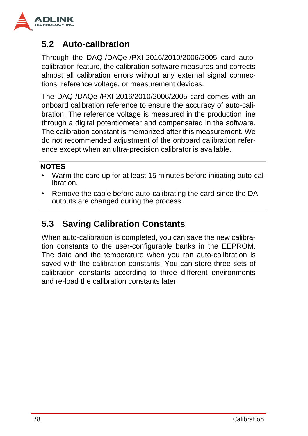

# **5.2 Auto-calibration**

Through the DAQ-/DAQe-/PXI-2016/2010/2006/2005 card autocalibration feature, the calibration software measures and corrects almost all calibration errors without any external signal connections, reference voltage, or measurement devices.

The DAQ-/DAQe-/PXI-2016/2010/2006/2005 card comes with an onboard calibration reference to ensure the accuracy of auto-calibration. The reference voltage is measured in the production line through a digital potentiometer and compensated in the software. The calibration constant is memorized after this measurement. We do not recommended adjustment of the onboard calibration reference except when an ultra-precision calibrator is available.

## **NOTES**

- Warm the card up for at least 15 minutes before initiating auto-calibration.
- Remove the cable before auto-calibrating the card since the DA outputs are changed during the process.

# **5.3 Saving Calibration Constants**

When auto-calibration is completed, you can save the new calibration constants to the user-configurable banks in the EEPROM. The date and the temperature when you ran auto-calibration is saved with the calibration constants. You can store three sets of calibration constants according to three different environments and re-load the calibration constants later.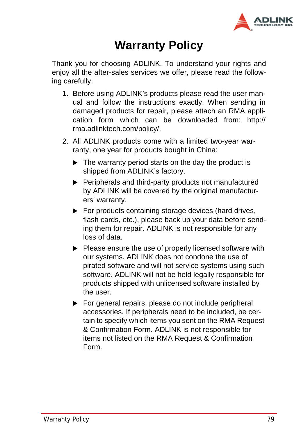

# **Warranty Policy**

Thank you for choosing ADLINK. To understand your rights and enjoy all the after-sales services we offer, please read the following carefully.

- 1. Before using ADLINK's products please read the user manual and follow the instructions exactly. When sending in damaged products for repair, please attach an RMA application form which can be downloaded from: http:// rma.adlinktech.com/policy/.
- 2. All ADLINK products come with a limited two-year warranty, one year for products bought in China:
	- $\blacktriangleright$  The warranty period starts on the day the product is shipped from ADLINK's factory.
	- $\blacktriangleright$  Peripherals and third-party products not manufactured by ADLINK will be covered by the original manufacturers' warranty.
	- $\blacktriangleright$  For products containing storage devices (hard drives, flash cards, etc.), please back up your data before sending them for repair. ADLINK is not responsible for any loss of data.
	- $\blacktriangleright$  Please ensure the use of properly licensed software with our systems. ADLINK does not condone the use of pirated software and will not service systems using such software. ADLINK will not be held legally responsible for products shipped with unlicensed software installed by the user.
	- $\triangleright$  For general repairs, please do not include peripheral accessories. If peripherals need to be included, be certain to specify which items you sent on the RMA Request & Confirmation Form. ADLINK is not responsible for items not listed on the RMA Request & Confirmation Form.